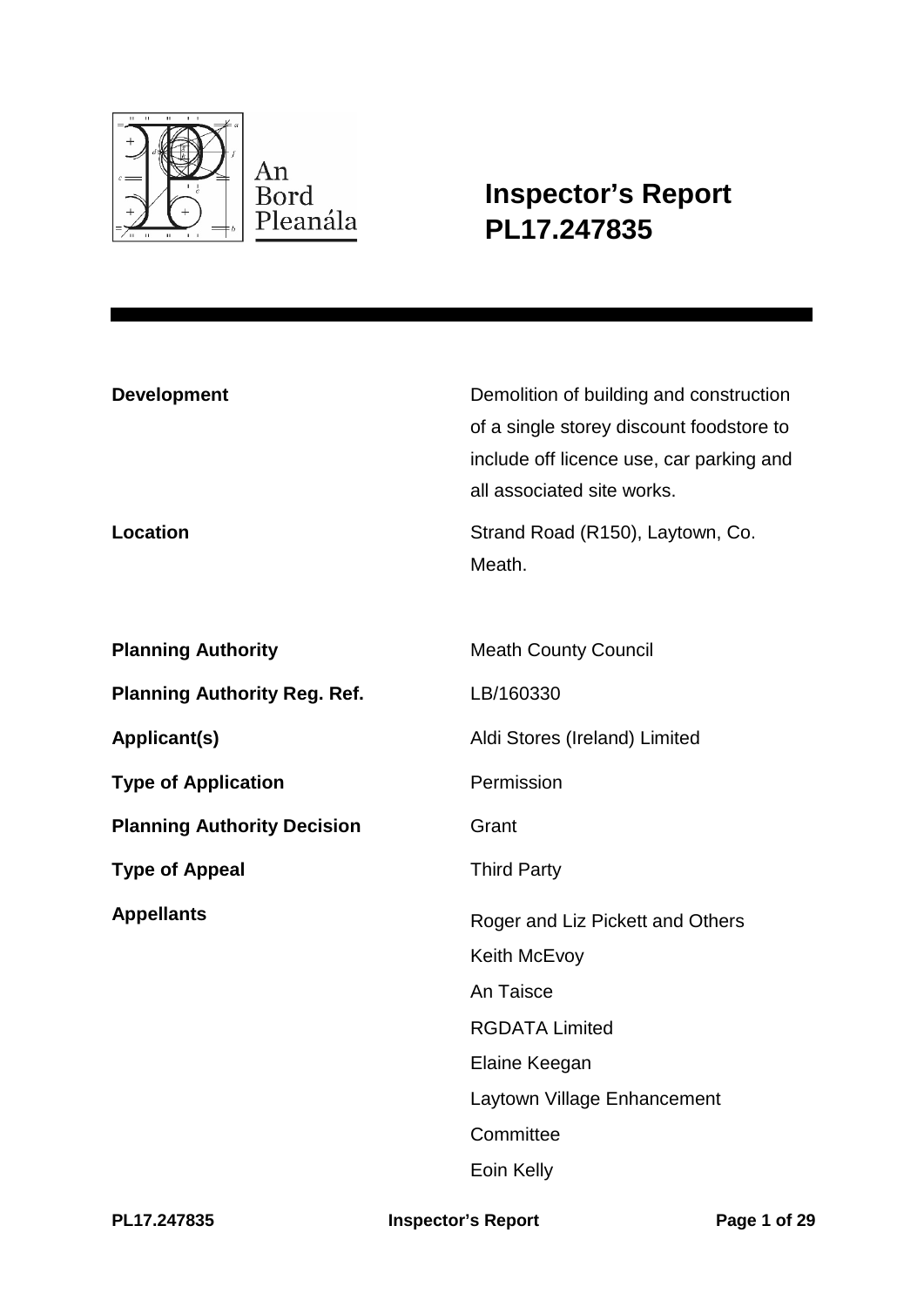

**Inspector's Report PL17.247835**

| <b>Development</b>                  | Demolition of building and construction<br>of a single storey discount foodstore to<br>include off licence use, car parking and<br>all associated site works. |
|-------------------------------------|---------------------------------------------------------------------------------------------------------------------------------------------------------------|
| <b>Location</b>                     | Strand Road (R150), Laytown, Co.<br>Meath.                                                                                                                    |
| <b>Planning Authority</b>           | <b>Meath County Council</b>                                                                                                                                   |
| <b>Planning Authority Reg. Ref.</b> | LB/160330                                                                                                                                                     |
| <b>Applicant(s)</b>                 | Aldi Stores (Ireland) Limited                                                                                                                                 |
| <b>Type of Application</b>          | Permission                                                                                                                                                    |
| <b>Planning Authority Decision</b>  | Grant                                                                                                                                                         |
| <b>Type of Appeal</b>               | <b>Third Party</b>                                                                                                                                            |
| <b>Appellants</b>                   | Roger and Liz Pickett and Others                                                                                                                              |
|                                     | Keith McEvoy                                                                                                                                                  |
|                                     | An Taisce                                                                                                                                                     |
|                                     | <b>RGDATA Limited</b>                                                                                                                                         |
|                                     | Elaine Keegan                                                                                                                                                 |
|                                     | Laytown Village Enhancement                                                                                                                                   |
|                                     | Committee                                                                                                                                                     |
|                                     | Eoin Kelly                                                                                                                                                    |

**PL17.247835 Inspector's Report Page 1 of 29**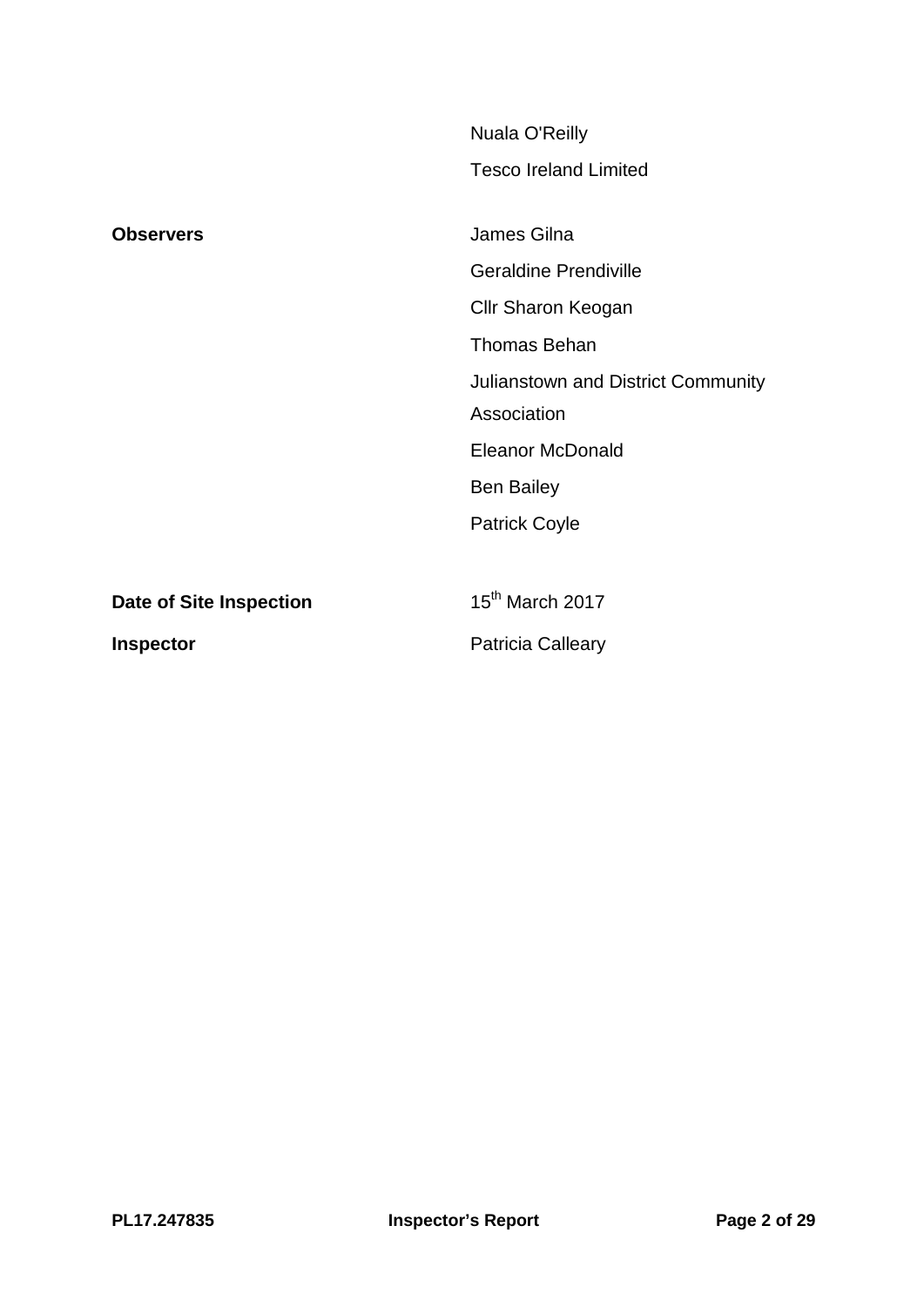|                         | Nuala O'Reilly                              |
|-------------------------|---------------------------------------------|
|                         | <b>Tesco Ireland Limited</b>                |
| <b>Observers</b>        | James Gilna<br><b>Geraldine Prendiville</b> |
|                         | <b>Cllr Sharon Keogan</b>                   |
|                         | <b>Thomas Behan</b>                         |
|                         | Julianstown and District Community          |
|                         | Association                                 |
|                         | <b>Eleanor McDonald</b>                     |
|                         | <b>Ben Bailey</b>                           |
|                         | <b>Patrick Coyle</b>                        |
|                         |                                             |
| Date of Site Inspection | 15 <sup>th</sup> March 2017                 |
| <b>Inspector</b>        | <b>Patricia Calleary</b>                    |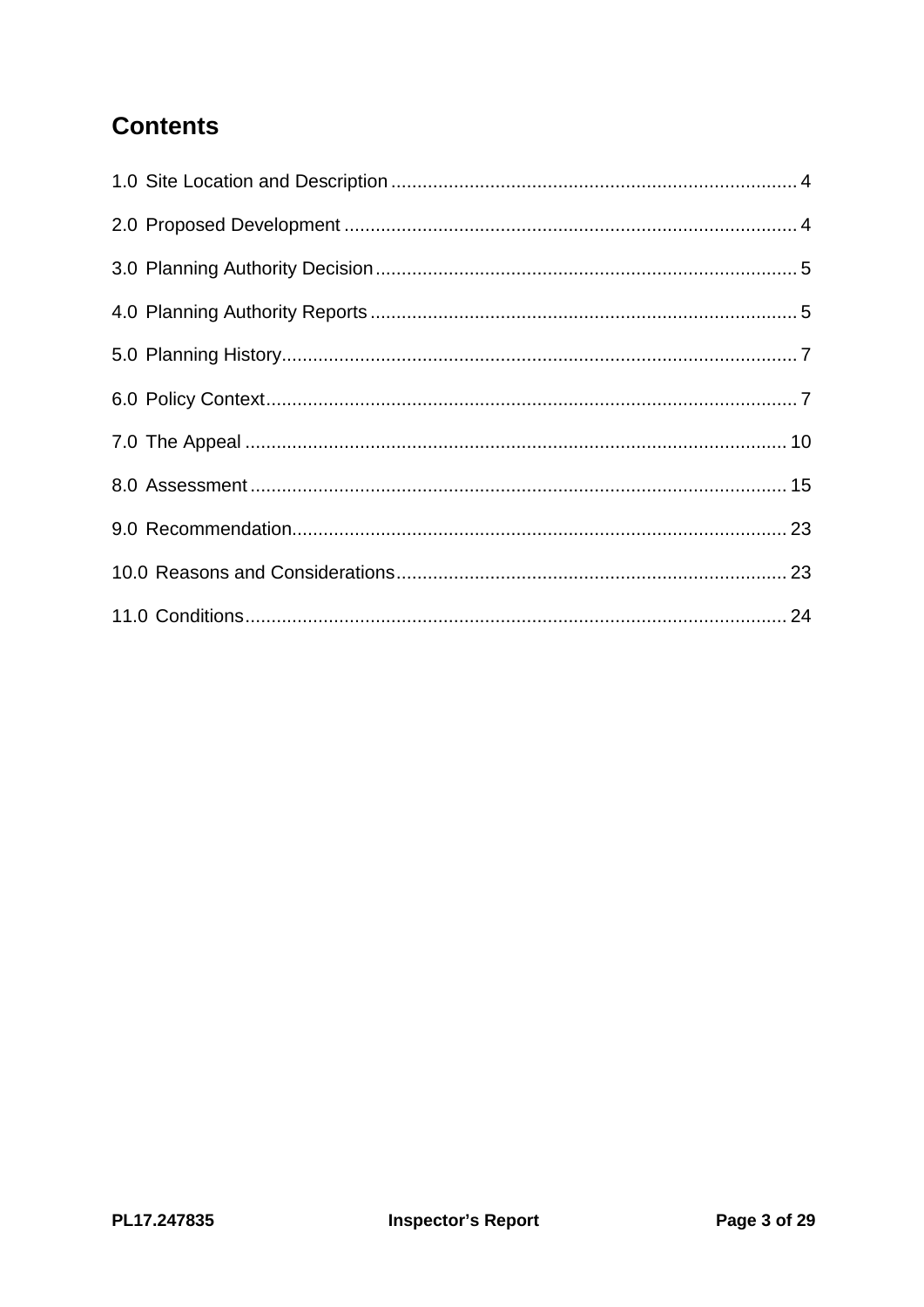# **Contents**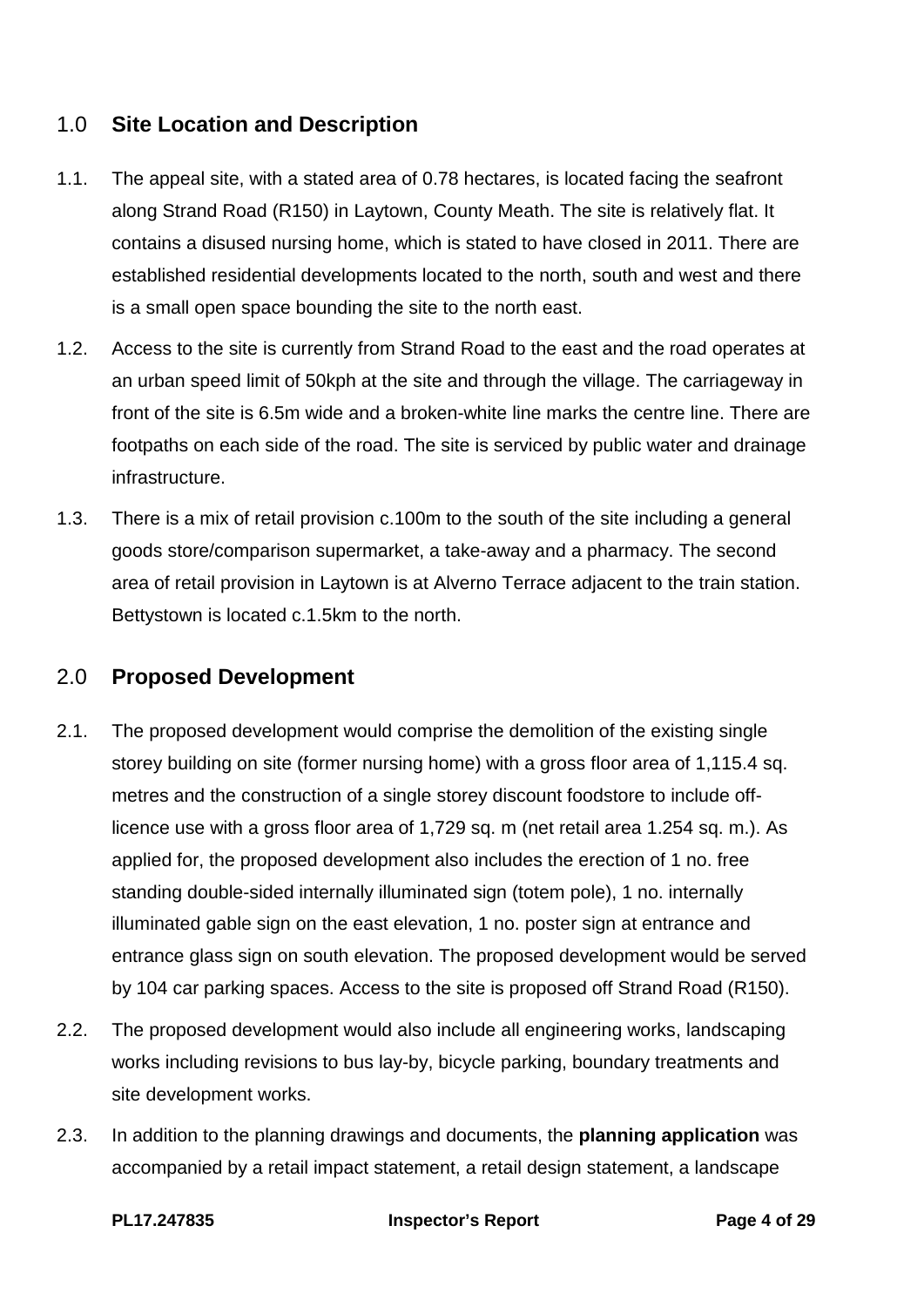# <span id="page-3-0"></span>1.0 **Site Location and Description**

- 1.1. The appeal site, with a stated area of 0.78 hectares, is located facing the seafront along Strand Road (R150) in Laytown, County Meath. The site is relatively flat. It contains a disused nursing home, which is stated to have closed in 2011. There are established residential developments located to the north, south and west and there is a small open space bounding the site to the north east.
- 1.2. Access to the site is currently from Strand Road to the east and the road operates at an urban speed limit of 50kph at the site and through the village. The carriageway in front of the site is 6.5m wide and a broken-white line marks the centre line. There are footpaths on each side of the road. The site is serviced by public water and drainage infrastructure.
- 1.3. There is a mix of retail provision c.100m to the south of the site including a general goods store/comparison supermarket, a take-away and a pharmacy. The second area of retail provision in Laytown is at Alverno Terrace adjacent to the train station. Bettystown is located c.1.5km to the north.

# <span id="page-3-1"></span>2.0 **Proposed Development**

- 2.1. The proposed development would comprise the demolition of the existing single storey building on site (former nursing home) with a gross floor area of 1,115.4 sq. metres and the construction of a single storey discount foodstore to include offlicence use with a gross floor area of 1,729 sq. m (net retail area 1.254 sq. m.). As applied for, the proposed development also includes the erection of 1 no. free standing double-sided internally illuminated sign (totem pole), 1 no. internally illuminated gable sign on the east elevation, 1 no. poster sign at entrance and entrance glass sign on south elevation. The proposed development would be served by 104 car parking spaces. Access to the site is proposed off Strand Road (R150).
- 2.2. The proposed development would also include all engineering works, landscaping works including revisions to bus lay-by, bicycle parking, boundary treatments and site development works.
- 2.3. In addition to the planning drawings and documents, the **planning application** was accompanied by a retail impact statement, a retail design statement, a landscape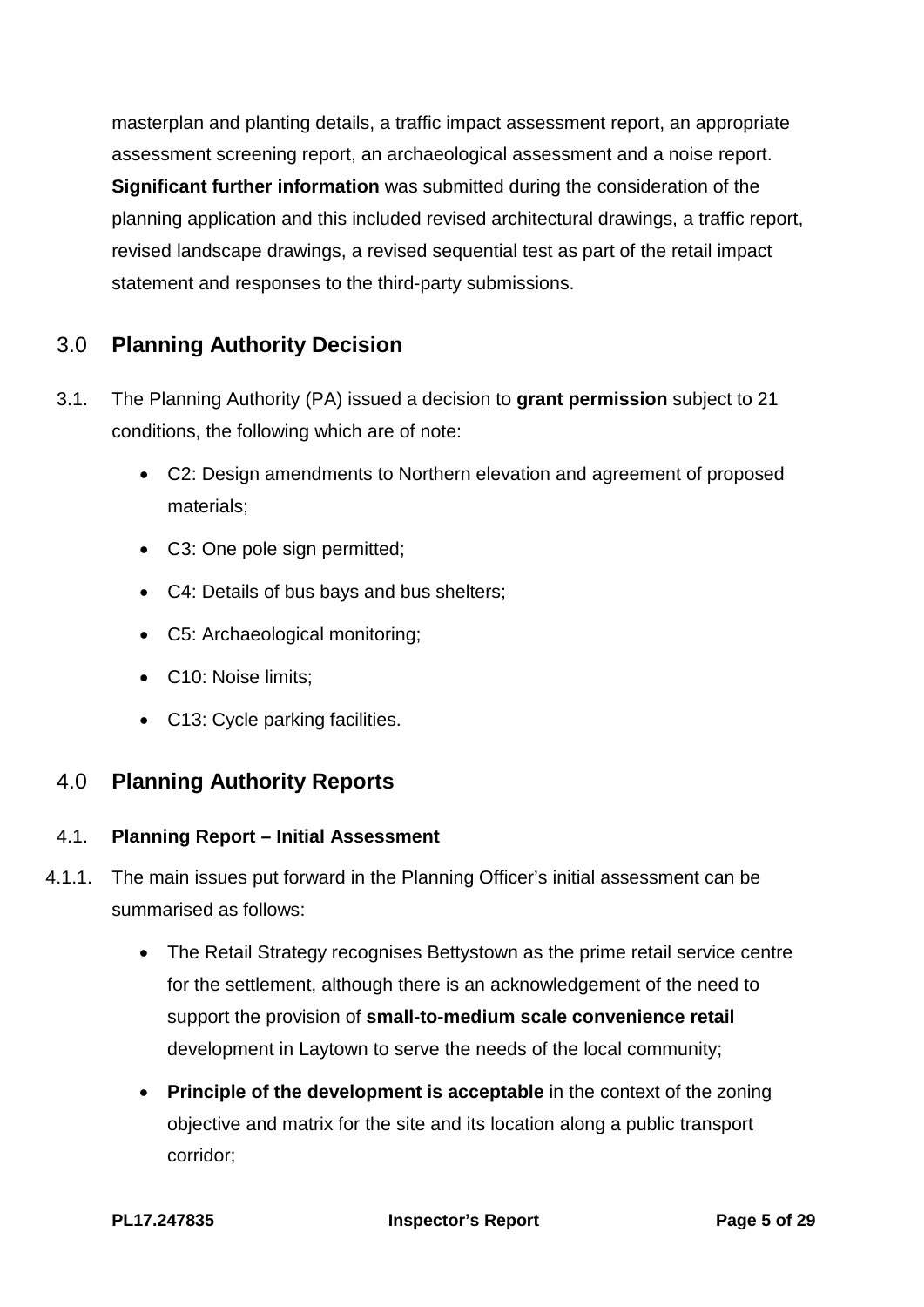masterplan and planting details, a traffic impact assessment report, an appropriate assessment screening report, an archaeological assessment and a noise report. **Significant further information** was submitted during the consideration of the planning application and this included revised architectural drawings, a traffic report, revised landscape drawings, a revised sequential test as part of the retail impact statement and responses to the third-party submissions.

# <span id="page-4-0"></span>3.0 **Planning Authority Decision**

- 3.1. The Planning Authority (PA) issued a decision to **grant permission** subject to 21 conditions, the following which are of note:
	- C2: Design amendments to Northern elevation and agreement of proposed materials;
	- C3: One pole sign permitted;
	- C4: Details of bus bays and bus shelters;
	- C5: Archaeological monitoring;
	- C10: Noise limits;
	- C13: Cycle parking facilities.

# <span id="page-4-1"></span>4.0 **Planning Authority Reports**

## 4.1. **Planning Report – Initial Assessment**

- 4.1.1. The main issues put forward in the Planning Officer's initial assessment can be summarised as follows:
	- The Retail Strategy recognises Bettystown as the prime retail service centre for the settlement, although there is an acknowledgement of the need to support the provision of **small-to-medium scale convenience retail** development in Laytown to serve the needs of the local community;
	- **Principle of the development is acceptable** in the context of the zoning objective and matrix for the site and its location along a public transport corridor;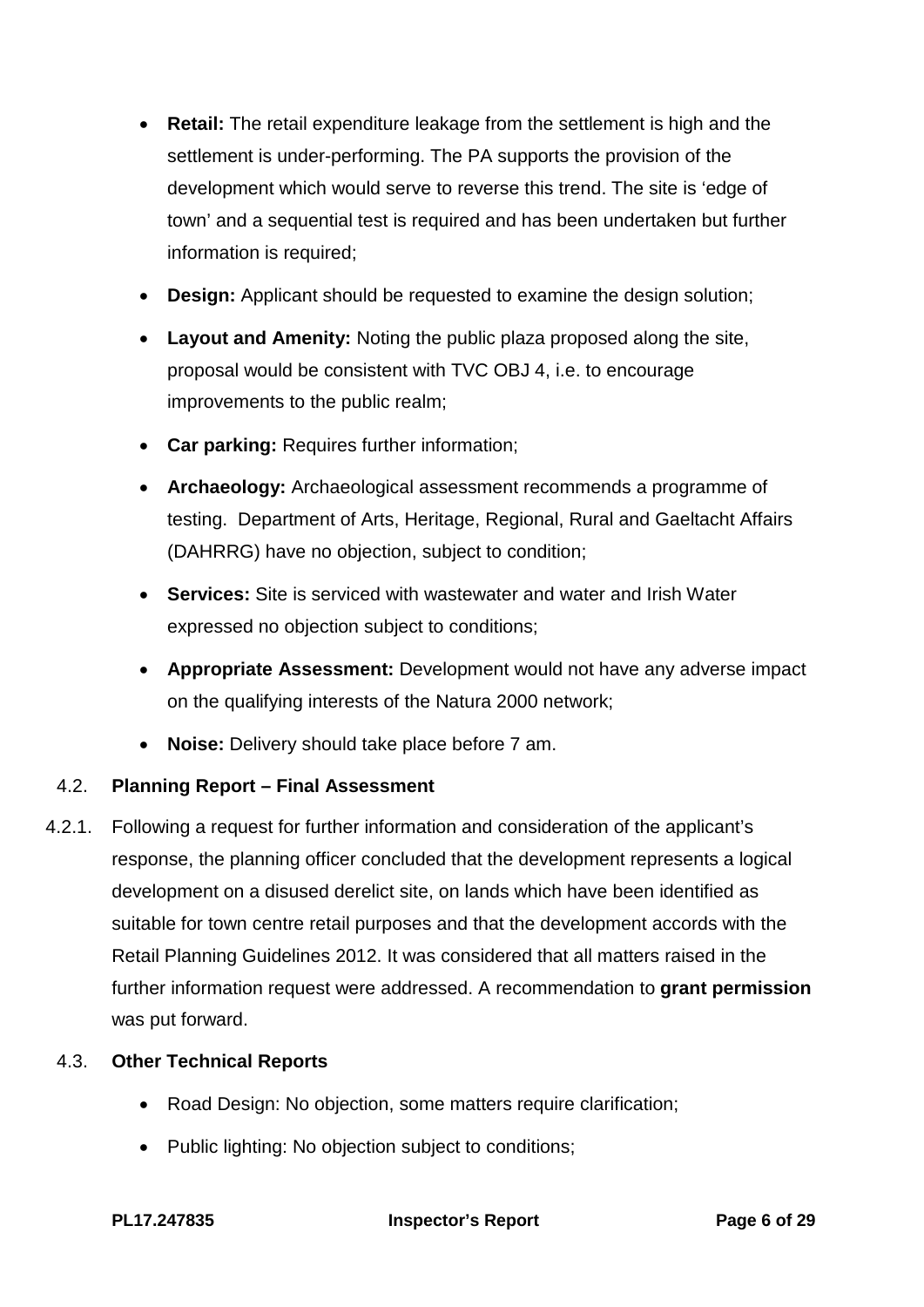- **Retail:** The retail expenditure leakage from the settlement is high and the settlement is under-performing. The PA supports the provision of the development which would serve to reverse this trend. The site is 'edge of town' and a sequential test is required and has been undertaken but further information is required:
- **Design:** Applicant should be requested to examine the design solution;
- **Layout and Amenity:** Noting the public plaza proposed along the site, proposal would be consistent with TVC OBJ 4, i.e. to encourage improvements to the public realm;
- **Car parking:** Requires further information;
- **Archaeology:** Archaeological assessment recommends a programme of testing. Department of Arts, Heritage, Regional, Rural and Gaeltacht Affairs (DAHRRG) have no objection, subject to condition;
- **Services:** Site is serviced with wastewater and water and Irish Water expressed no objection subject to conditions;
- **Appropriate Assessment:** Development would not have any adverse impact on the qualifying interests of the Natura 2000 network;
- **Noise:** Delivery should take place before 7 am.

## 4.2. **Planning Report – Final Assessment**

4.2.1. Following a request for further information and consideration of the applicant's response, the planning officer concluded that the development represents a logical development on a disused derelict site, on lands which have been identified as suitable for town centre retail purposes and that the development accords with the Retail Planning Guidelines 2012. It was considered that all matters raised in the further information request were addressed. A recommendation to **grant permission** was put forward.

## 4.3. **Other Technical Reports**

- Road Design: No objection, some matters require clarification;
- Public lighting: No objection subject to conditions;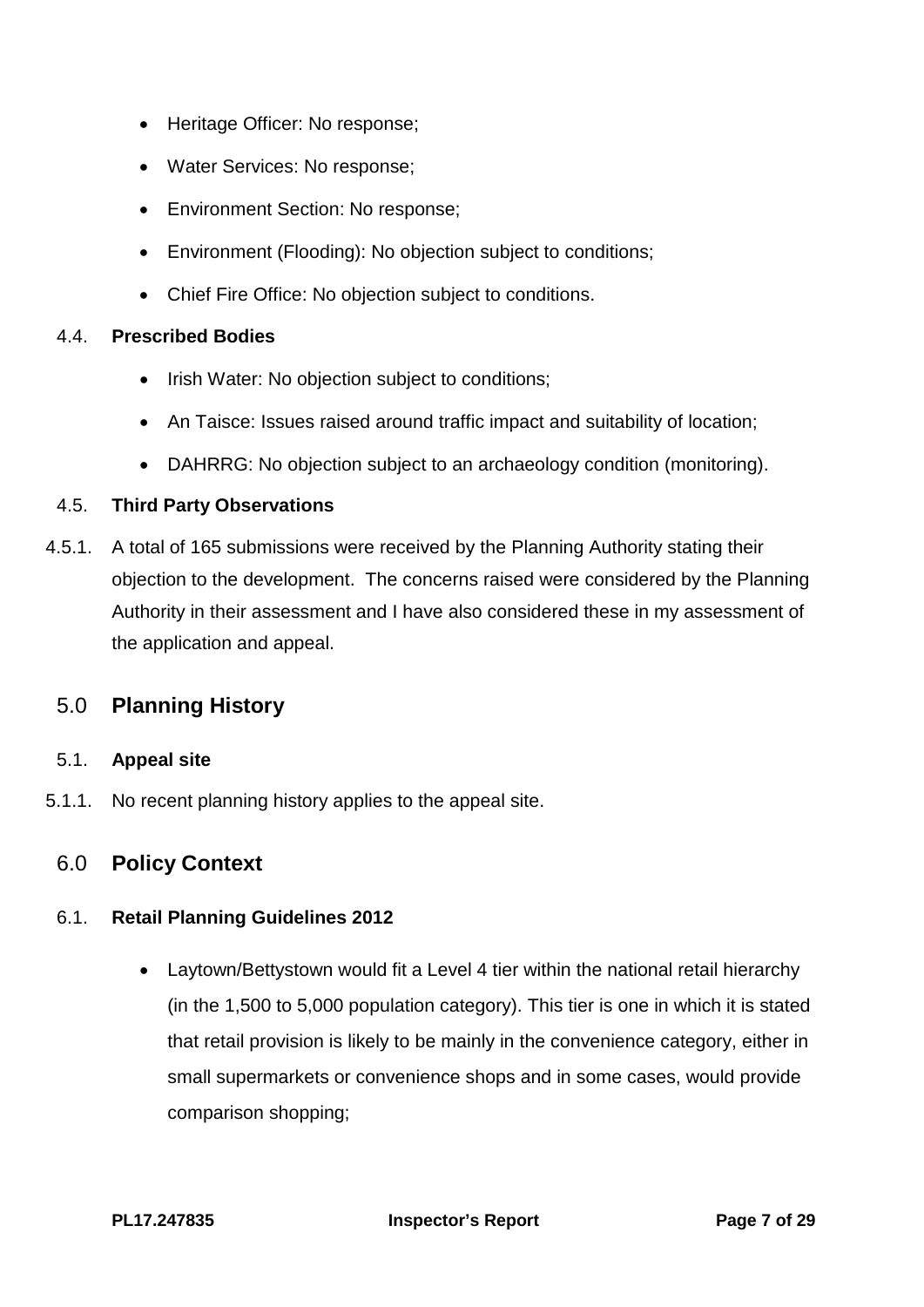- Heritage Officer: No response;
- Water Services: No response;
- Environment Section: No response;
- Environment (Flooding): No objection subject to conditions;
- Chief Fire Office: No objection subject to conditions.

#### 4.4. **Prescribed Bodies**

- Irish Water: No objection subject to conditions;
- An Taisce: Issues raised around traffic impact and suitability of location;
- DAHRRG: No objection subject to an archaeology condition (monitoring).

## 4.5. **Third Party Observations**

4.5.1. A total of 165 submissions were received by the Planning Authority stating their objection to the development. The concerns raised were considered by the Planning Authority in their assessment and I have also considered these in my assessment of the application and appeal.

# <span id="page-6-0"></span>5.0 **Planning History**

## 5.1. **Appeal site**

5.1.1. No recent planning history applies to the appeal site.

# <span id="page-6-1"></span>6.0 **Policy Context**

## 6.1. **Retail Planning Guidelines 2012**

• Laytown/Bettystown would fit a Level 4 tier within the national retail hierarchy (in the 1,500 to 5,000 population category). This tier is one in which it is stated that retail provision is likely to be mainly in the convenience category, either in small supermarkets or convenience shops and in some cases, would provide comparison shopping;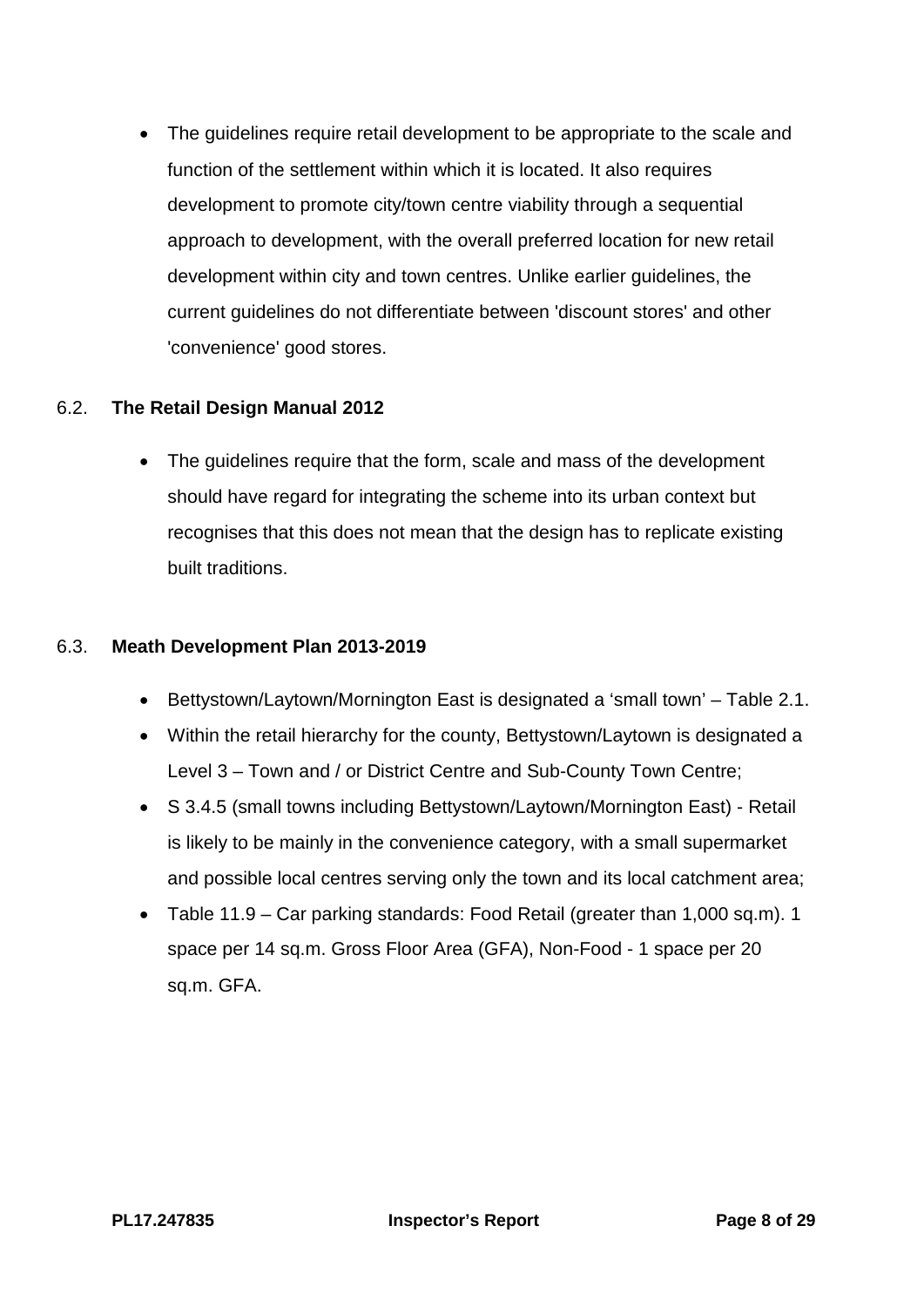• The guidelines require retail development to be appropriate to the scale and function of the settlement within which it is located. It also requires development to promote city/town centre viability through a sequential approach to development, with the overall preferred location for new retail development within city and town centres. Unlike earlier guidelines, the current guidelines do not differentiate between 'discount stores' and other 'convenience' good stores.

#### 6.2. **The Retail Design Manual 2012**

• The guidelines require that the form, scale and mass of the development should have regard for integrating the scheme into its urban context but recognises that this does not mean that the design has to replicate existing built traditions.

#### 6.3. **Meath Development Plan 2013-2019**

- Bettystown/Laytown/Mornington East is designated a 'small town' Table 2.1.
- Within the retail hierarchy for the county, Bettystown/Laytown is designated a Level 3 – Town and / or District Centre and Sub-County Town Centre;
- S 3.4.5 (small towns including Bettystown/Laytown/Mornington East) Retail is likely to be mainly in the convenience category, with a small supermarket and possible local centres serving only the town and its local catchment area;
- Table 11.9 Car parking standards: Food Retail (greater than 1,000 sq.m). 1 space per 14 sq.m. Gross Floor Area (GFA), Non-Food - 1 space per 20 sq.m. GFA.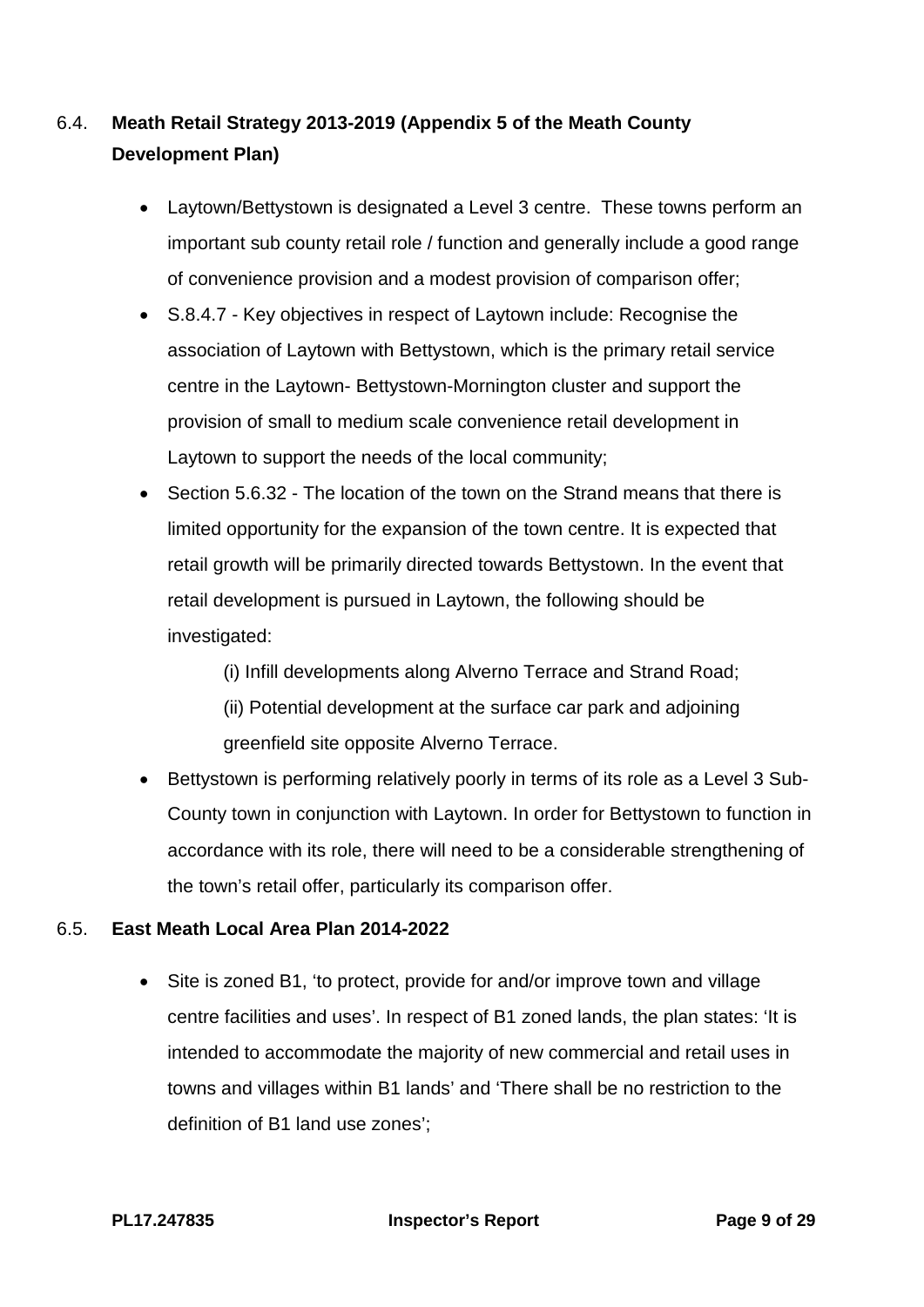# 6.4. **Meath Retail Strategy 2013-2019 (Appendix 5 of the Meath County Development Plan)**

- Laytown/Bettystown is designated a Level 3 centre. These towns perform an important sub county retail role / function and generally include a good range of convenience provision and a modest provision of comparison offer;
- S.8.4.7 Key objectives in respect of Laytown include: Recognise the association of Laytown with Bettystown, which is the primary retail service centre in the Laytown- Bettystown-Mornington cluster and support the provision of small to medium scale convenience retail development in Laytown to support the needs of the local community;
- Section 5.6.32 The location of the town on the Strand means that there is limited opportunity for the expansion of the town centre. It is expected that retail growth will be primarily directed towards Bettystown. In the event that retail development is pursued in Laytown, the following should be investigated:

(i) Infill developments along Alverno Terrace and Strand Road;

(ii) Potential development at the surface car park and adjoining greenfield site opposite Alverno Terrace.

• Bettystown is performing relatively poorly in terms of its role as a Level 3 Sub-County town in conjunction with Laytown. In order for Bettystown to function in accordance with its role, there will need to be a considerable strengthening of the town's retail offer, particularly its comparison offer.

## 6.5. **East Meath Local Area Plan 2014-2022**

• Site is zoned B1, 'to protect, provide for and/or improve town and village centre facilities and uses'. In respect of B1 zoned lands, the plan states: 'It is intended to accommodate the majority of new commercial and retail uses in towns and villages within B1 lands' and 'There shall be no restriction to the definition of B1 land use zones';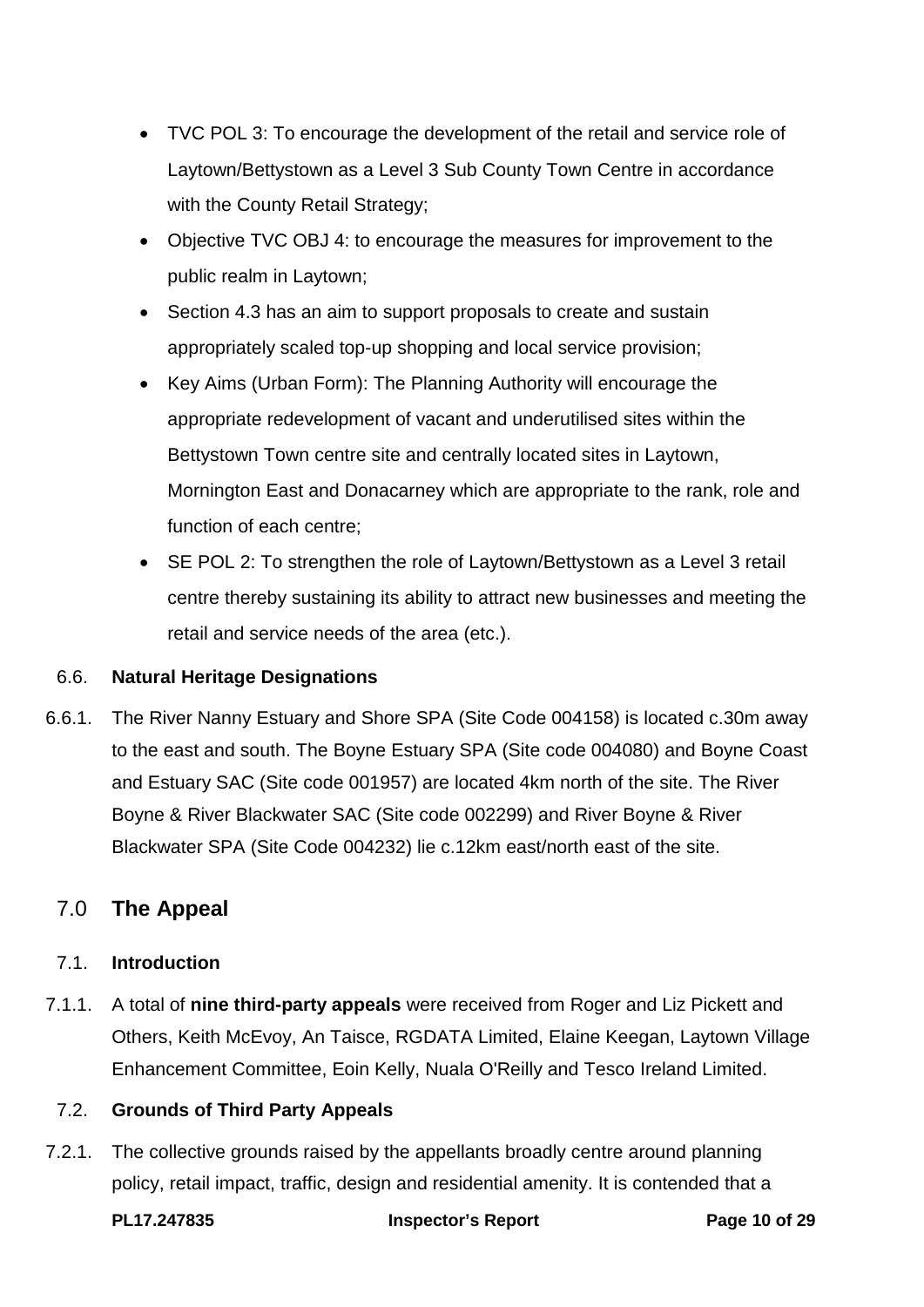- TVC POL 3: To encourage the development of the retail and service role of Laytown/Bettystown as a Level 3 Sub County Town Centre in accordance with the County Retail Strategy;
- Objective TVC OBJ 4: to encourage the measures for improvement to the public realm in Laytown;
- Section 4.3 has an aim to support proposals to create and sustain appropriately scaled top-up shopping and local service provision;
- Key Aims (Urban Form): The Planning Authority will encourage the appropriate redevelopment of vacant and underutilised sites within the Bettystown Town centre site and centrally located sites in Laytown, Mornington East and Donacarney which are appropriate to the rank, role and function of each centre;
- SE POL 2: To strengthen the role of Laytown/Bettystown as a Level 3 retail centre thereby sustaining its ability to attract new businesses and meeting the retail and service needs of the area (etc.).

## 6.6. **Natural Heritage Designations**

6.6.1. The River Nanny Estuary and Shore SPA (Site Code 004158) is located c.30m away to the east and south. The Boyne Estuary SPA (Site code 004080) and Boyne Coast and Estuary SAC (Site code 001957) are located 4km north of the site. The River Boyne & River Blackwater SAC (Site code 002299) and River Boyne & River Blackwater SPA (Site Code 004232) lie c.12km east/north east of the site.

# <span id="page-9-0"></span>7.0 **The Appeal**

## 7.1. **Introduction**

7.1.1. A total of **nine third-party appeals** were received from Roger and Liz Pickett and Others, Keith McEvoy, An Taisce, RGDATA Limited, Elaine Keegan, Laytown Village Enhancement Committee, Eoin Kelly, Nuala O'Reilly and Tesco Ireland Limited.

## 7.2. **Grounds of Third Party Appeals**

7.2.1. The collective grounds raised by the appellants broadly centre around planning policy, retail impact, traffic, design and residential amenity. It is contended that a

**PL17.247835 Inspector's Report Page 10 of 29**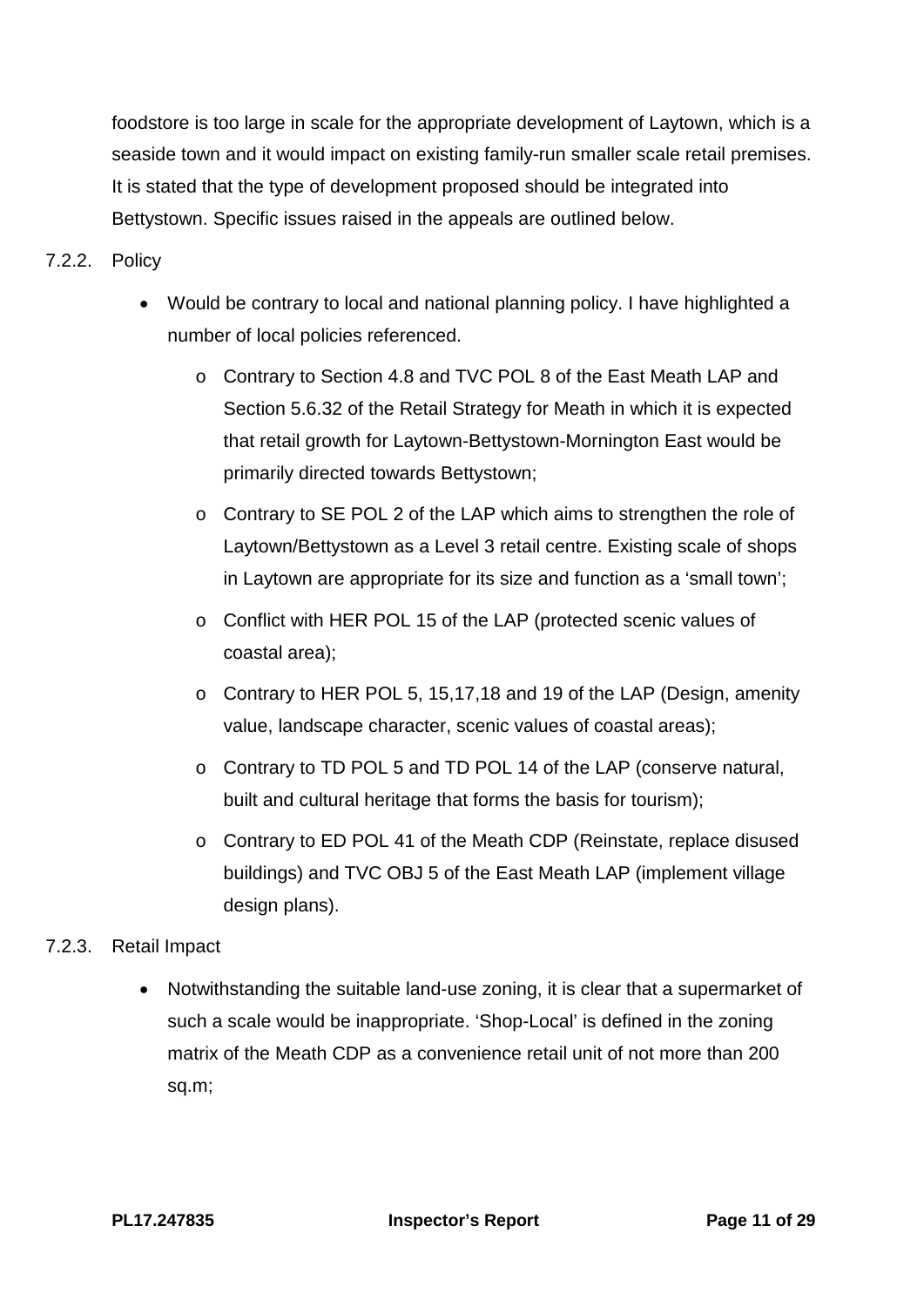foodstore is too large in scale for the appropriate development of Laytown, which is a seaside town and it would impact on existing family-run smaller scale retail premises. It is stated that the type of development proposed should be integrated into Bettystown. Specific issues raised in the appeals are outlined below.

## 7.2.2. Policy

- Would be contrary to local and national planning policy. I have highlighted a number of local policies referenced.
	- o Contrary to Section 4.8 and TVC POL 8 of the East Meath LAP and Section 5.6.32 of the Retail Strategy for Meath in which it is expected that retail growth for Laytown-Bettystown-Mornington East would be primarily directed towards Bettystown;
	- o Contrary to SE POL 2 of the LAP which aims to strengthen the role of Laytown/Bettystown as a Level 3 retail centre. Existing scale of shops in Laytown are appropriate for its size and function as a 'small town';
	- o Conflict with HER POL 15 of the LAP (protected scenic values of coastal area);
	- o Contrary to HER POL 5, 15,17,18 and 19 of the LAP (Design, amenity value, landscape character, scenic values of coastal areas);
	- o Contrary to TD POL 5 and TD POL 14 of the LAP (conserve natural, built and cultural heritage that forms the basis for tourism);
	- o Contrary to ED POL 41 of the Meath CDP (Reinstate, replace disused buildings) and TVC OBJ 5 of the East Meath LAP (implement village design plans).

## 7.2.3. Retail Impact

• Notwithstanding the suitable land-use zoning, it is clear that a supermarket of such a scale would be inappropriate. 'Shop-Local' is defined in the zoning matrix of the Meath CDP as a convenience retail unit of not more than 200 sq.m;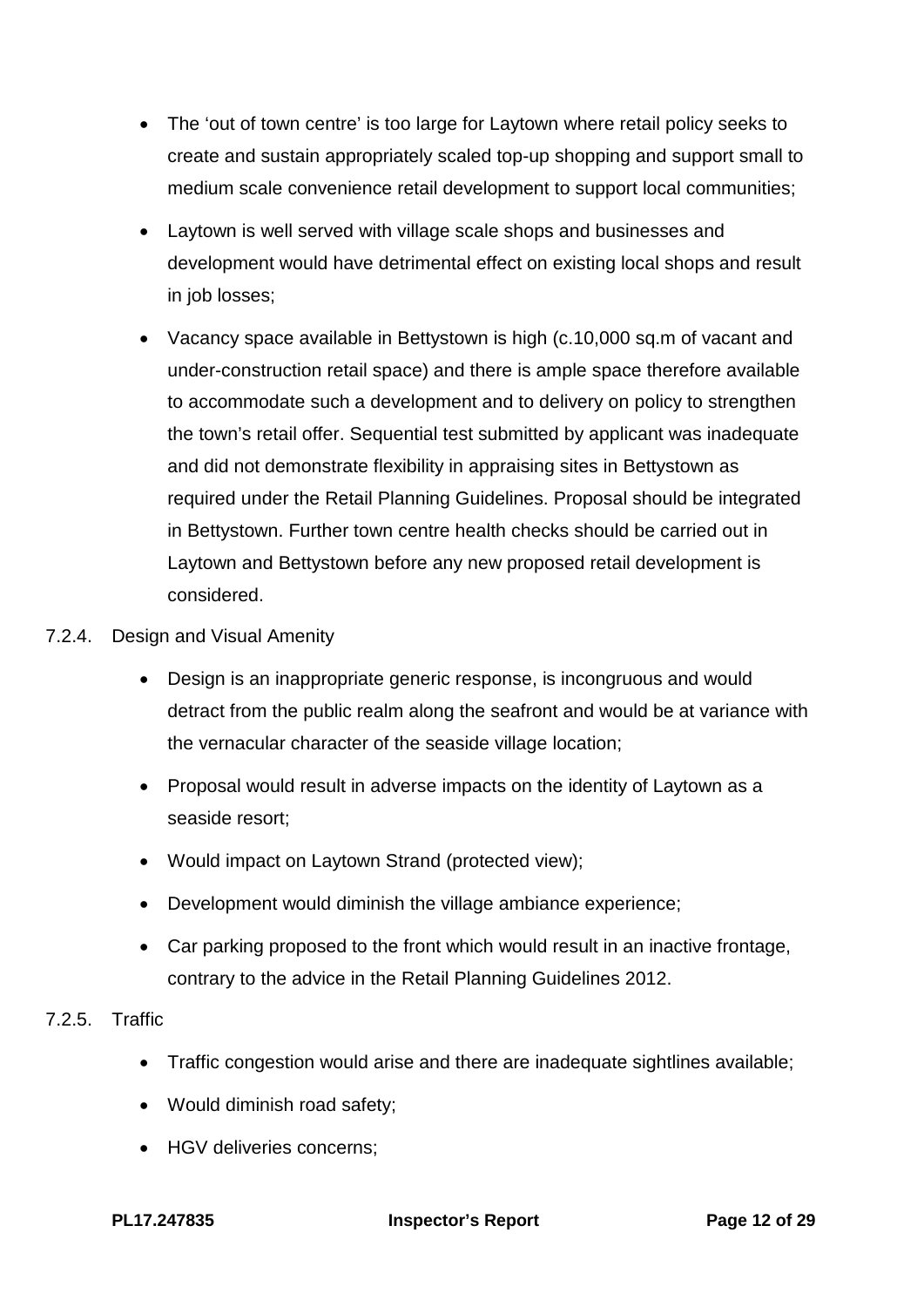- The 'out of town centre' is too large for Laytown where retail policy seeks to create and sustain appropriately scaled top-up shopping and support small to medium scale convenience retail development to support local communities;
- Laytown is well served with village scale shops and businesses and development would have detrimental effect on existing local shops and result in job losses;
- Vacancy space available in Bettystown is high (c.10,000 sq.m of vacant and under-construction retail space) and there is ample space therefore available to accommodate such a development and to delivery on policy to strengthen the town's retail offer. Sequential test submitted by applicant was inadequate and did not demonstrate flexibility in appraising sites in Bettystown as required under the Retail Planning Guidelines. Proposal should be integrated in Bettystown. Further town centre health checks should be carried out in Laytown and Bettystown before any new proposed retail development is considered.

#### 7.2.4. Design and Visual Amenity

- Design is an inappropriate generic response, is incongruous and would detract from the public realm along the seafront and would be at variance with the vernacular character of the seaside village location;
- Proposal would result in adverse impacts on the identity of Laytown as a seaside resort;
- Would impact on Laytown Strand (protected view):
- Development would diminish the village ambiance experience;
- Car parking proposed to the front which would result in an inactive frontage, contrary to the advice in the Retail Planning Guidelines 2012.

#### 7.2.5. Traffic

- Traffic congestion would arise and there are inadequate sightlines available;
- Would diminish road safety;
- HGV deliveries concerns;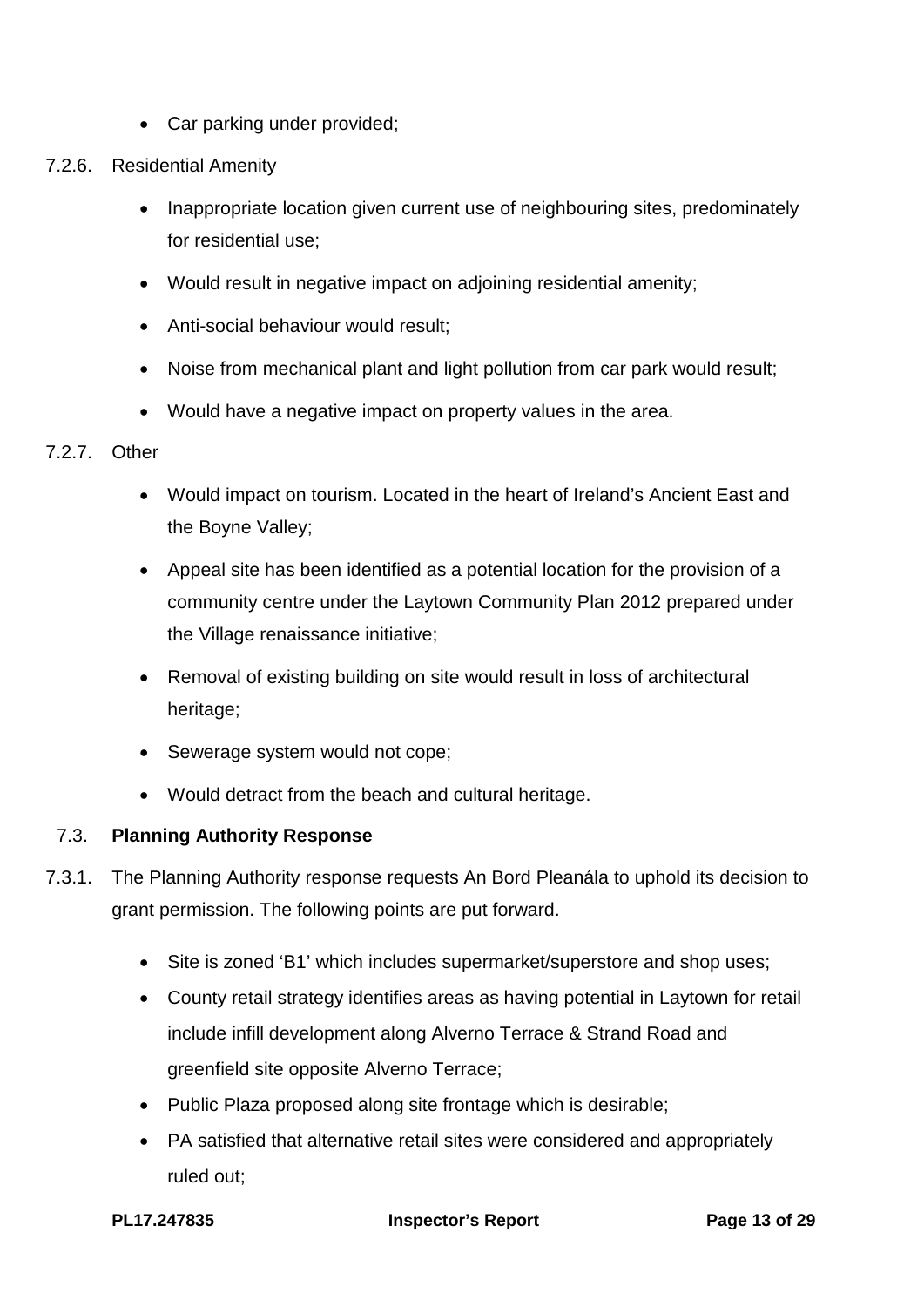- Car parking under provided;
- 7.2.6. Residential Amenity
	- Inappropriate location given current use of neighbouring sites, predominately for residential use;
	- Would result in negative impact on adjoining residential amenity;
	- Anti-social behaviour would result;
	- Noise from mechanical plant and light pollution from car park would result;
	- Would have a negative impact on property values in the area.

#### 7.2.7. Other

- Would impact on tourism. Located in the heart of Ireland's Ancient East and the Boyne Valley;
- Appeal site has been identified as a potential location for the provision of a community centre under the Laytown Community Plan 2012 prepared under the Village renaissance initiative;
- Removal of existing building on site would result in loss of architectural heritage;
- Sewerage system would not cope;
- Would detract from the beach and cultural heritage.

#### 7.3. **Planning Authority Response**

- 7.3.1. The Planning Authority response requests An Bord Pleanála to uphold its decision to grant permission. The following points are put forward.
	- Site is zoned 'B1' which includes supermarket/superstore and shop uses;
	- County retail strategy identifies areas as having potential in Laytown for retail include infill development along Alverno Terrace & Strand Road and greenfield site opposite Alverno Terrace;
	- Public Plaza proposed along site frontage which is desirable;
	- PA satisfied that alternative retail sites were considered and appropriately ruled out;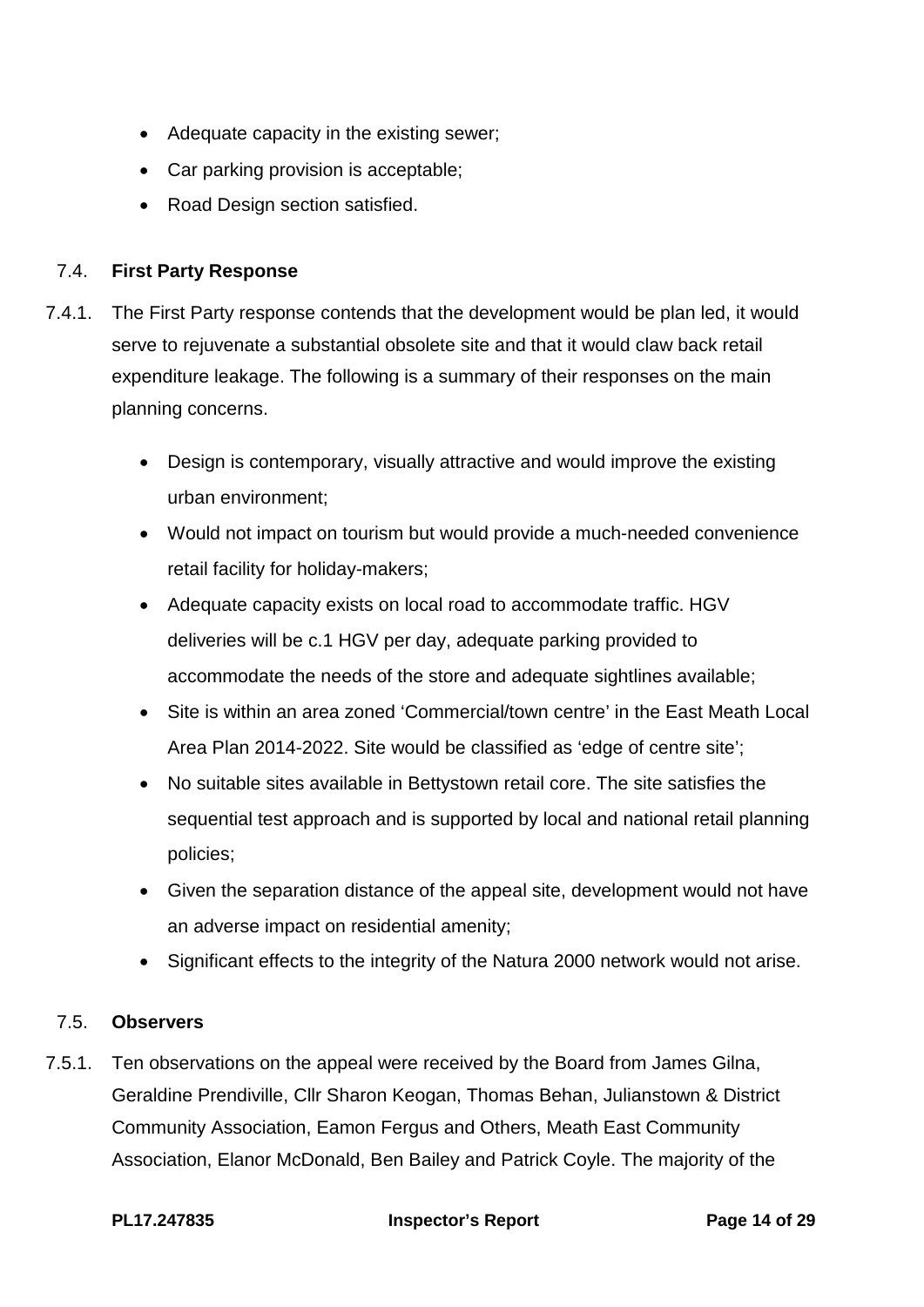- Adequate capacity in the existing sewer;
- Car parking provision is acceptable;
- Road Design section satisfied.

## 7.4. **First Party Response**

- 7.4.1. The First Party response contends that the development would be plan led, it would serve to rejuvenate a substantial obsolete site and that it would claw back retail expenditure leakage. The following is a summary of their responses on the main planning concerns.
	- Design is contemporary, visually attractive and would improve the existing urban environment;
	- Would not impact on tourism but would provide a much-needed convenience retail facility for holiday-makers;
	- Adequate capacity exists on local road to accommodate traffic. HGV deliveries will be c.1 HGV per day, adequate parking provided to accommodate the needs of the store and adequate sightlines available;
	- Site is within an area zoned 'Commercial/town centre' in the East Meath Local Area Plan 2014-2022. Site would be classified as 'edge of centre site';
	- No suitable sites available in Bettystown retail core. The site satisfies the sequential test approach and is supported by local and national retail planning policies;
	- Given the separation distance of the appeal site, development would not have an adverse impact on residential amenity;
	- Significant effects to the integrity of the Natura 2000 network would not arise.

## 7.5. **Observers**

7.5.1. Ten observations on the appeal were received by the Board from James Gilna, Geraldine Prendiville, Cllr Sharon Keogan, Thomas Behan, Julianstown & District Community Association, Eamon Fergus and Others, Meath East Community Association, Elanor McDonald, Ben Bailey and Patrick Coyle. The majority of the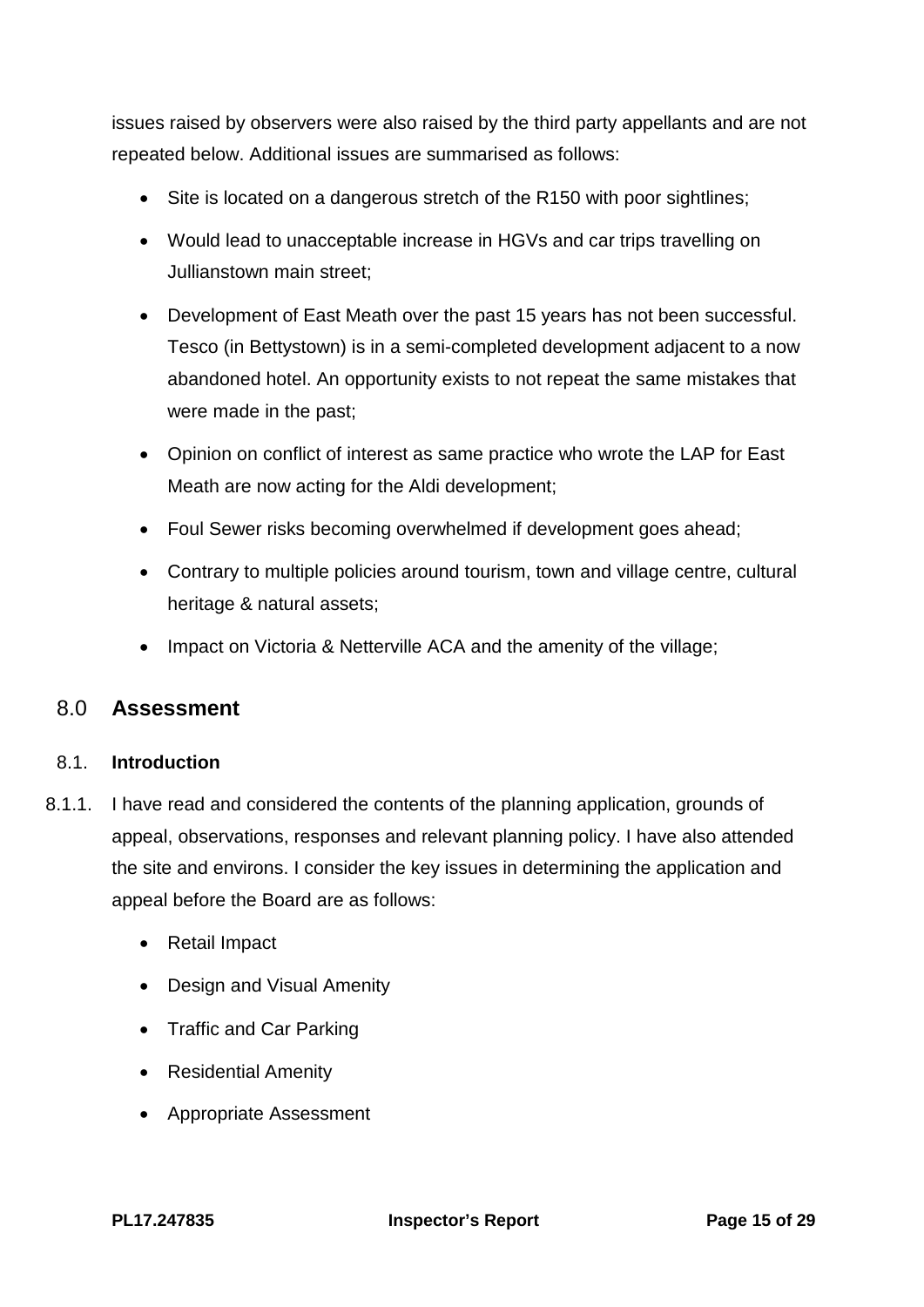issues raised by observers were also raised by the third party appellants and are not repeated below. Additional issues are summarised as follows:

- Site is located on a dangerous stretch of the R150 with poor sightlines:
- Would lead to unacceptable increase in HGVs and car trips travelling on Jullianstown main street;
- Development of East Meath over the past 15 years has not been successful. Tesco (in Bettystown) is in a semi-completed development adjacent to a now abandoned hotel. An opportunity exists to not repeat the same mistakes that were made in the past;
- Opinion on conflict of interest as same practice who wrote the LAP for East Meath are now acting for the Aldi development;
- Foul Sewer risks becoming overwhelmed if development goes ahead;
- Contrary to multiple policies around tourism, town and village centre, cultural heritage & natural assets;
- <span id="page-14-0"></span>• Impact on Victoria & Netterville ACA and the amenity of the village;

# 8.0 **Assessment**

#### 8.1. **Introduction**

- 8.1.1. I have read and considered the contents of the planning application, grounds of appeal, observations, responses and relevant planning policy. I have also attended the site and environs. I consider the key issues in determining the application and appeal before the Board are as follows:
	- Retail Impact
	- Design and Visual Amenity
	- Traffic and Car Parking
	- Residential Amenity
	- Appropriate Assessment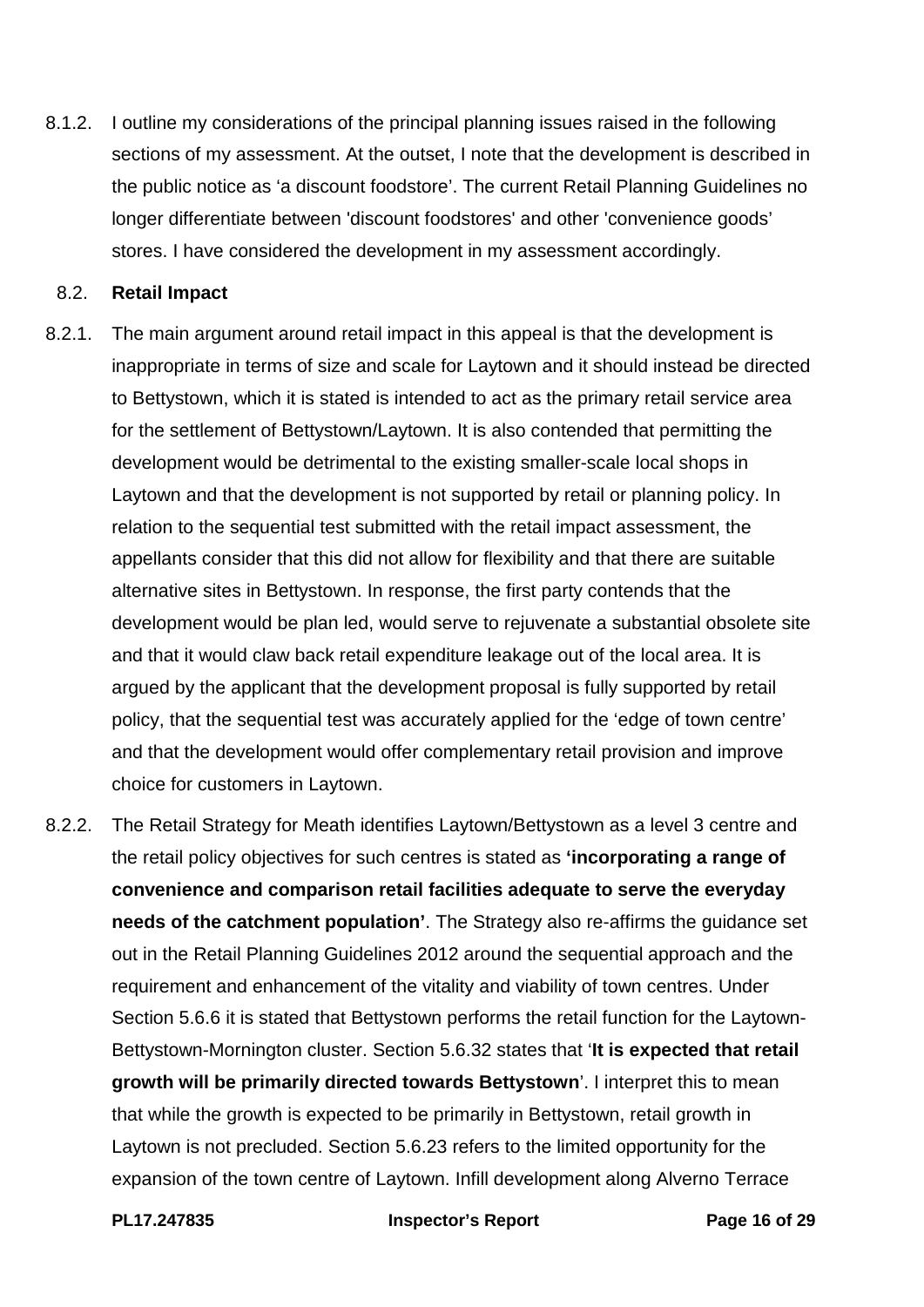8.1.2. I outline my considerations of the principal planning issues raised in the following sections of my assessment. At the outset, I note that the development is described in the public notice as 'a discount foodstore'. The current Retail Planning Guidelines no longer differentiate between 'discount foodstores' and other 'convenience goods' stores. I have considered the development in my assessment accordingly.

#### 8.2. **Retail Impact**

- 8.2.1. The main argument around retail impact in this appeal is that the development is inappropriate in terms of size and scale for Laytown and it should instead be directed to Bettystown, which it is stated is intended to act as the primary retail service area for the settlement of Bettystown/Laytown. It is also contended that permitting the development would be detrimental to the existing smaller-scale local shops in Laytown and that the development is not supported by retail or planning policy. In relation to the sequential test submitted with the retail impact assessment, the appellants consider that this did not allow for flexibility and that there are suitable alternative sites in Bettystown. In response, the first party contends that the development would be plan led, would serve to rejuvenate a substantial obsolete site and that it would claw back retail expenditure leakage out of the local area. It is argued by the applicant that the development proposal is fully supported by retail policy, that the sequential test was accurately applied for the 'edge of town centre' and that the development would offer complementary retail provision and improve choice for customers in Laytown.
- 8.2.2. The Retail Strategy for Meath identifies Laytown/Bettystown as a level 3 centre and the retail policy objectives for such centres is stated as **'incorporating a range of convenience and comparison retail facilities adequate to serve the everyday needs of the catchment population'**. The Strategy also re-affirms the guidance set out in the Retail Planning Guidelines 2012 around the sequential approach and the requirement and enhancement of the vitality and viability of town centres. Under Section 5.6.6 it is stated that Bettystown performs the retail function for the Laytown-Bettystown-Mornington cluster. Section 5.6.32 states that '**It is expected that retail growth will be primarily directed towards Bettystown**'. I interpret this to mean that while the growth is expected to be primarily in Bettystown, retail growth in Laytown is not precluded. Section 5.6.23 refers to the limited opportunity for the expansion of the town centre of Laytown. Infill development along Alverno Terrace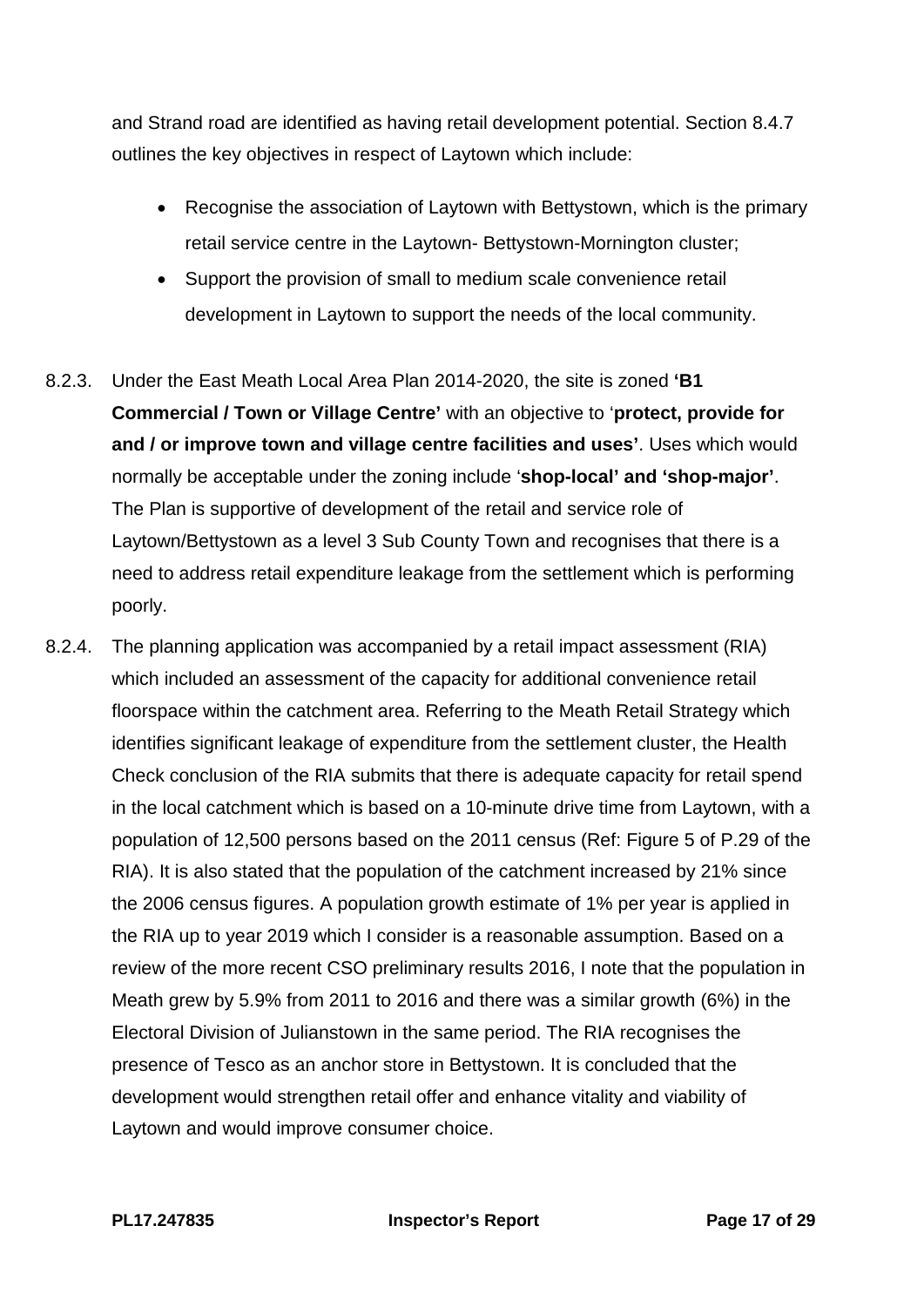and Strand road are identified as having retail development potential. Section 8.4.7 outlines the key objectives in respect of Laytown which include:

- Recognise the association of Laytown with Bettystown, which is the primary retail service centre in the Laytown- Bettystown-Mornington cluster;
- Support the provision of small to medium scale convenience retail development in Laytown to support the needs of the local community.
- 8.2.3. Under the East Meath Local Area Plan 2014-2020, the site is zoned **'B1 Commercial / Town or Village Centre'** with an objective to '**protect, provide for and / or improve town and village centre facilities and uses'**. Uses which would normally be acceptable under the zoning include '**shop-local' and 'shop-major'**. The Plan is supportive of development of the retail and service role of Laytown/Bettystown as a level 3 Sub County Town and recognises that there is a need to address retail expenditure leakage from the settlement which is performing poorly.
- 8.2.4. The planning application was accompanied by a retail impact assessment (RIA) which included an assessment of the capacity for additional convenience retail floorspace within the catchment area. Referring to the Meath Retail Strategy which identifies significant leakage of expenditure from the settlement cluster, the Health Check conclusion of the RIA submits that there is adequate capacity for retail spend in the local catchment which is based on a 10-minute drive time from Laytown, with a population of 12,500 persons based on the 2011 census (Ref: Figure 5 of P.29 of the RIA). It is also stated that the population of the catchment increased by 21% since the 2006 census figures. A population growth estimate of 1% per year is applied in the RIA up to year 2019 which I consider is a reasonable assumption. Based on a review of the more recent CSO preliminary results 2016, I note that the population in Meath grew by 5.9% from 2011 to 2016 and there was a similar growth (6%) in the Electoral Division of Julianstown in the same period. The RIA recognises the presence of Tesco as an anchor store in Bettystown. It is concluded that the development would strengthen retail offer and enhance vitality and viability of Laytown and would improve consumer choice.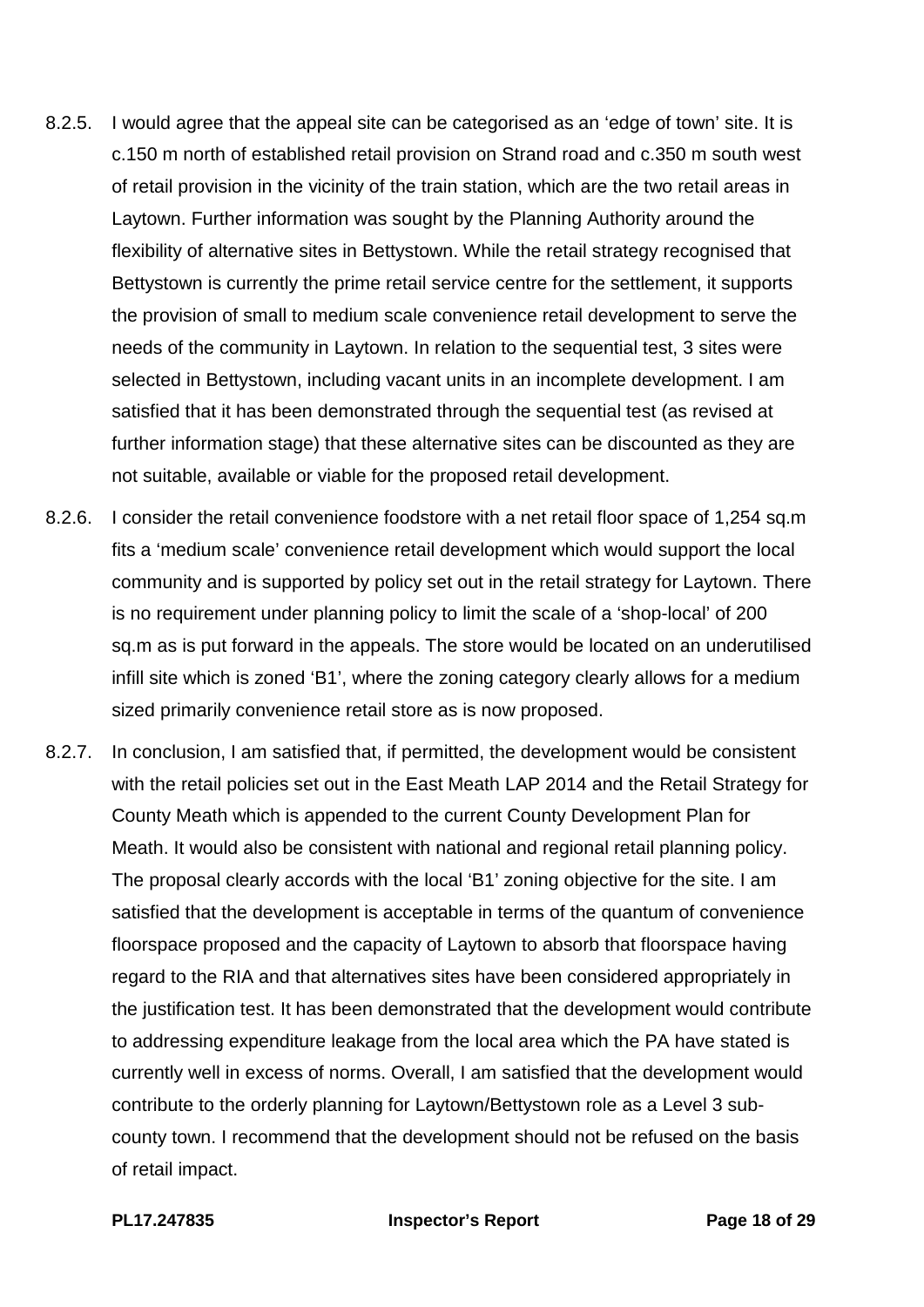- 8.2.5. I would agree that the appeal site can be categorised as an 'edge of town' site. It is c.150 m north of established retail provision on Strand road and c.350 m south west of retail provision in the vicinity of the train station, which are the two retail areas in Laytown. Further information was sought by the Planning Authority around the flexibility of alternative sites in Bettystown. While the retail strategy recognised that Bettystown is currently the prime retail service centre for the settlement, it supports the provision of small to medium scale convenience retail development to serve the needs of the community in Laytown. In relation to the sequential test, 3 sites were selected in Bettystown, including vacant units in an incomplete development. I am satisfied that it has been demonstrated through the sequential test (as revised at further information stage) that these alternative sites can be discounted as they are not suitable, available or viable for the proposed retail development.
- 8.2.6. I consider the retail convenience foodstore with a net retail floor space of 1,254 sq.m fits a 'medium scale' convenience retail development which would support the local community and is supported by policy set out in the retail strategy for Laytown. There is no requirement under planning policy to limit the scale of a 'shop-local' of 200 sq.m as is put forward in the appeals. The store would be located on an underutilised infill site which is zoned 'B1', where the zoning category clearly allows for a medium sized primarily convenience retail store as is now proposed.
- 8.2.7. In conclusion, I am satisfied that, if permitted, the development would be consistent with the retail policies set out in the East Meath LAP 2014 and the Retail Strategy for County Meath which is appended to the current County Development Plan for Meath. It would also be consistent with national and regional retail planning policy. The proposal clearly accords with the local 'B1' zoning objective for the site. I am satisfied that the development is acceptable in terms of the quantum of convenience floorspace proposed and the capacity of Laytown to absorb that floorspace having regard to the RIA and that alternatives sites have been considered appropriately in the justification test. It has been demonstrated that the development would contribute to addressing expenditure leakage from the local area which the PA have stated is currently well in excess of norms. Overall, I am satisfied that the development would contribute to the orderly planning for Laytown/Bettystown role as a Level 3 subcounty town. I recommend that the development should not be refused on the basis of retail impact.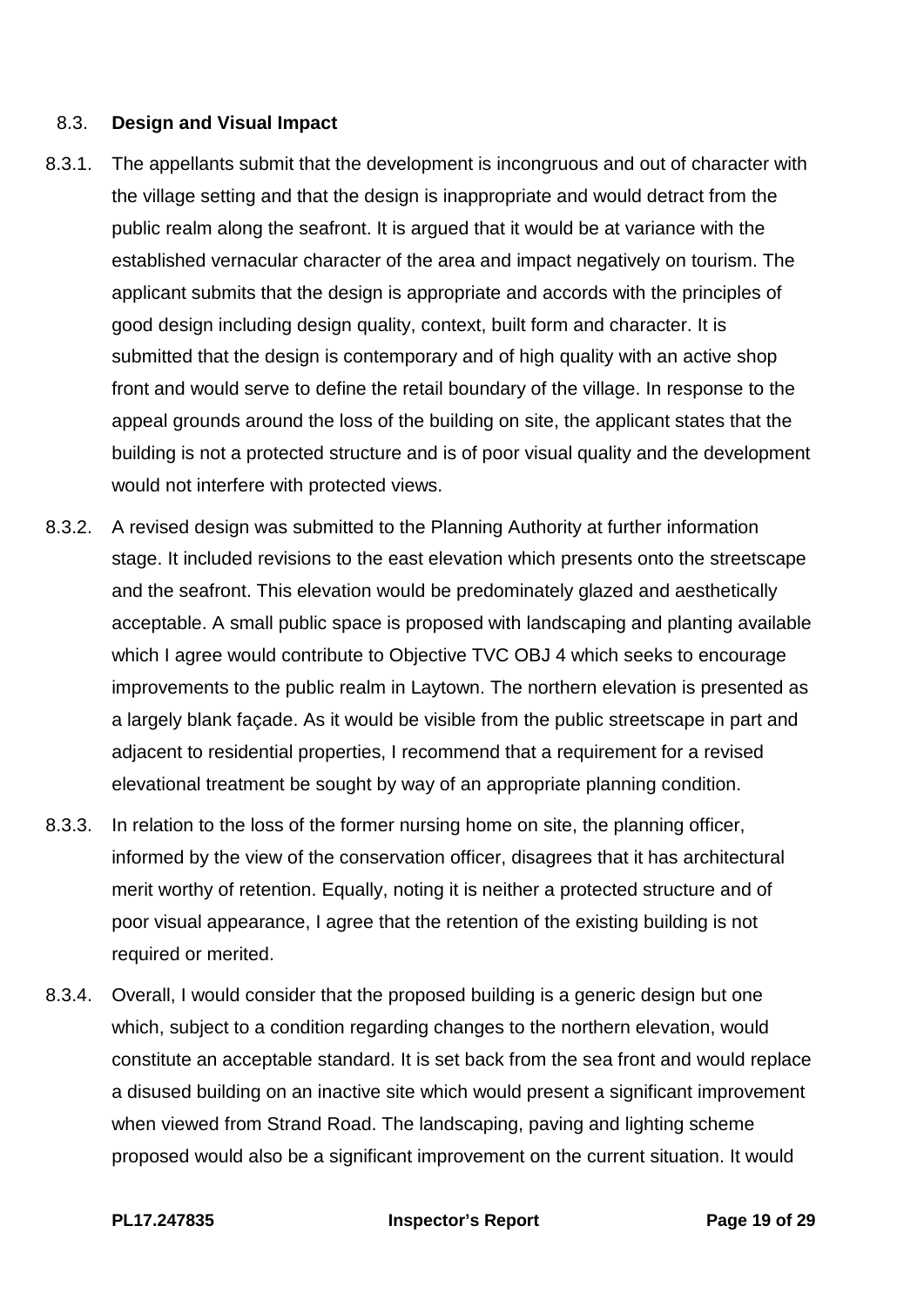#### 8.3. **Design and Visual Impact**

- 8.3.1. The appellants submit that the development is incongruous and out of character with the village setting and that the design is inappropriate and would detract from the public realm along the seafront. It is argued that it would be at variance with the established vernacular character of the area and impact negatively on tourism. The applicant submits that the design is appropriate and accords with the principles of good design including design quality, context, built form and character. It is submitted that the design is contemporary and of high quality with an active shop front and would serve to define the retail boundary of the village. In response to the appeal grounds around the loss of the building on site, the applicant states that the building is not a protected structure and is of poor visual quality and the development would not interfere with protected views.
- 8.3.2. A revised design was submitted to the Planning Authority at further information stage. It included revisions to the east elevation which presents onto the streetscape and the seafront. This elevation would be predominately glazed and aesthetically acceptable. A small public space is proposed with landscaping and planting available which I agree would contribute to Objective TVC OBJ 4 which seeks to encourage improvements to the public realm in Laytown. The northern elevation is presented as a largely blank façade. As it would be visible from the public streetscape in part and adjacent to residential properties, I recommend that a requirement for a revised elevational treatment be sought by way of an appropriate planning condition.
- 8.3.3. In relation to the loss of the former nursing home on site, the planning officer, informed by the view of the conservation officer, disagrees that it has architectural merit worthy of retention. Equally, noting it is neither a protected structure and of poor visual appearance, I agree that the retention of the existing building is not required or merited.
- 8.3.4. Overall, I would consider that the proposed building is a generic design but one which, subject to a condition regarding changes to the northern elevation, would constitute an acceptable standard. It is set back from the sea front and would replace a disused building on an inactive site which would present a significant improvement when viewed from Strand Road. The landscaping, paving and lighting scheme proposed would also be a significant improvement on the current situation. It would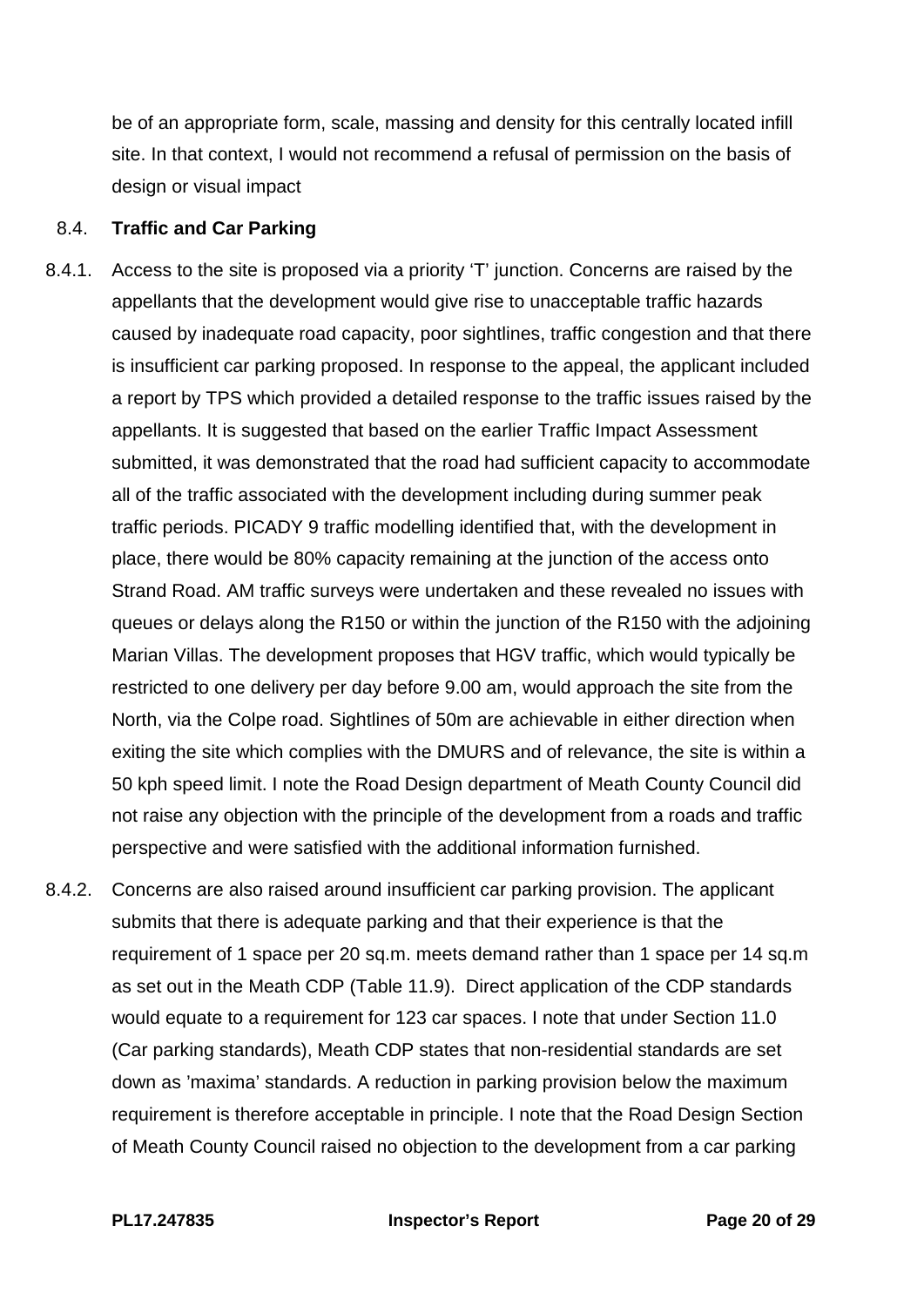be of an appropriate form, scale, massing and density for this centrally located infill site. In that context, I would not recommend a refusal of permission on the basis of design or visual impact

#### 8.4. **Traffic and Car Parking**

- 8.4.1. Access to the site is proposed via a priority 'T' junction. Concerns are raised by the appellants that the development would give rise to unacceptable traffic hazards caused by inadequate road capacity, poor sightlines, traffic congestion and that there is insufficient car parking proposed. In response to the appeal, the applicant included a report by TPS which provided a detailed response to the traffic issues raised by the appellants. It is suggested that based on the earlier Traffic Impact Assessment submitted, it was demonstrated that the road had sufficient capacity to accommodate all of the traffic associated with the development including during summer peak traffic periods. PICADY 9 traffic modelling identified that, with the development in place, there would be 80% capacity remaining at the junction of the access onto Strand Road. AM traffic surveys were undertaken and these revealed no issues with queues or delays along the R150 or within the junction of the R150 with the adjoining Marian Villas. The development proposes that HGV traffic, which would typically be restricted to one delivery per day before 9.00 am, would approach the site from the North, via the Colpe road. Sightlines of 50m are achievable in either direction when exiting the site which complies with the DMURS and of relevance, the site is within a 50 kph speed limit. I note the Road Design department of Meath County Council did not raise any objection with the principle of the development from a roads and traffic perspective and were satisfied with the additional information furnished.
- 8.4.2. Concerns are also raised around insufficient car parking provision. The applicant submits that there is adequate parking and that their experience is that the requirement of 1 space per 20 sq.m. meets demand rather than 1 space per 14 sq.m as set out in the Meath CDP (Table 11.9). Direct application of the CDP standards would equate to a requirement for 123 car spaces. I note that under Section 11.0 (Car parking standards), Meath CDP states that non-residential standards are set down as 'maxima' standards. A reduction in parking provision below the maximum requirement is therefore acceptable in principle. I note that the Road Design Section of Meath County Council raised no objection to the development from a car parking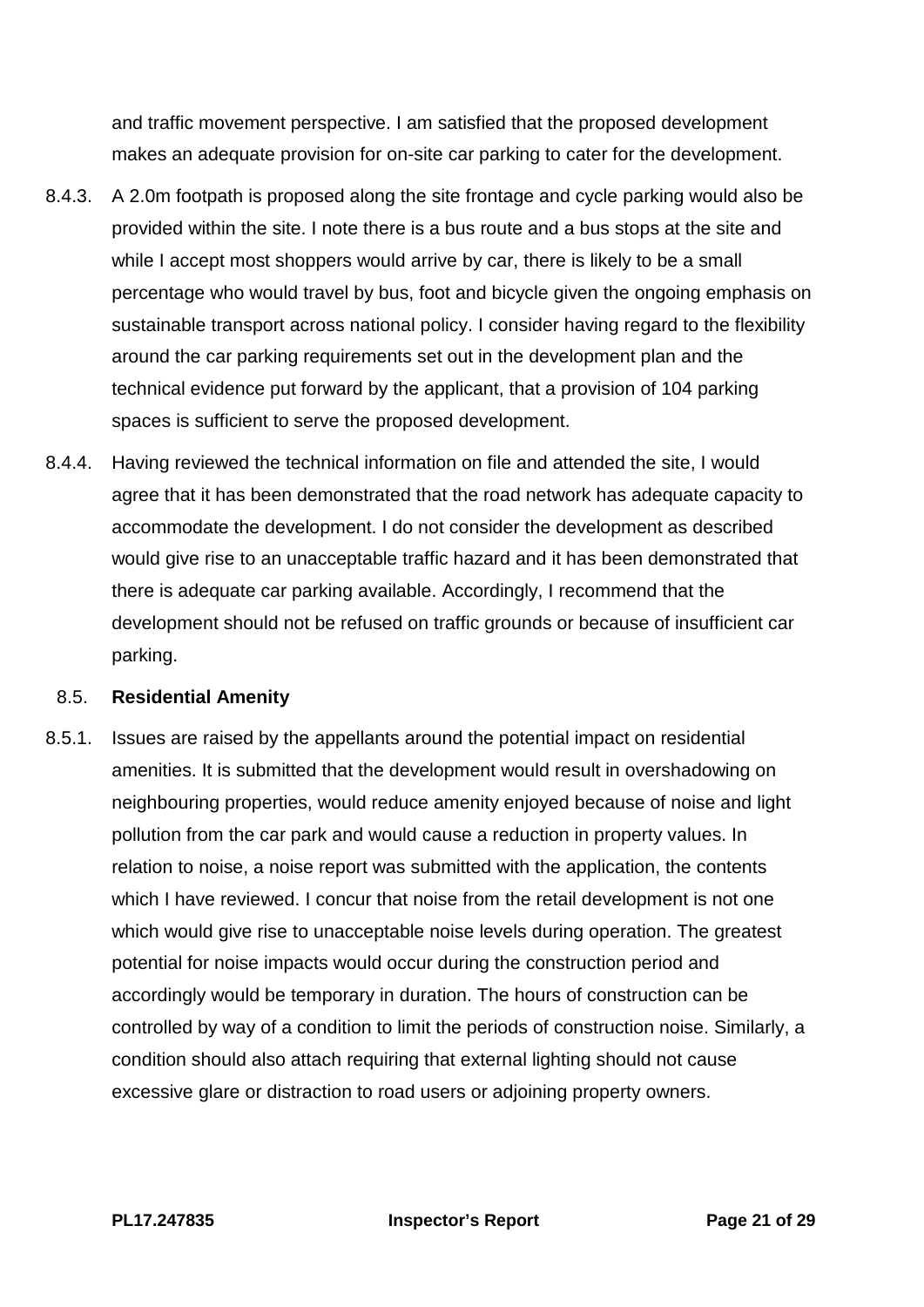and traffic movement perspective. I am satisfied that the proposed development makes an adequate provision for on-site car parking to cater for the development.

- 8.4.3. A 2.0m footpath is proposed along the site frontage and cycle parking would also be provided within the site. I note there is a bus route and a bus stops at the site and while I accept most shoppers would arrive by car, there is likely to be a small percentage who would travel by bus, foot and bicycle given the ongoing emphasis on sustainable transport across national policy. I consider having regard to the flexibility around the car parking requirements set out in the development plan and the technical evidence put forward by the applicant, that a provision of 104 parking spaces is sufficient to serve the proposed development.
- 8.4.4. Having reviewed the technical information on file and attended the site, I would agree that it has been demonstrated that the road network has adequate capacity to accommodate the development. I do not consider the development as described would give rise to an unacceptable traffic hazard and it has been demonstrated that there is adequate car parking available. Accordingly, I recommend that the development should not be refused on traffic grounds or because of insufficient car parking.

#### 8.5. **Residential Amenity**

8.5.1. Issues are raised by the appellants around the potential impact on residential amenities. It is submitted that the development would result in overshadowing on neighbouring properties, would reduce amenity enjoyed because of noise and light pollution from the car park and would cause a reduction in property values. In relation to noise, a noise report was submitted with the application, the contents which I have reviewed. I concur that noise from the retail development is not one which would give rise to unacceptable noise levels during operation. The greatest potential for noise impacts would occur during the construction period and accordingly would be temporary in duration. The hours of construction can be controlled by way of a condition to limit the periods of construction noise. Similarly, a condition should also attach requiring that external lighting should not cause excessive glare or distraction to road users or adjoining property owners.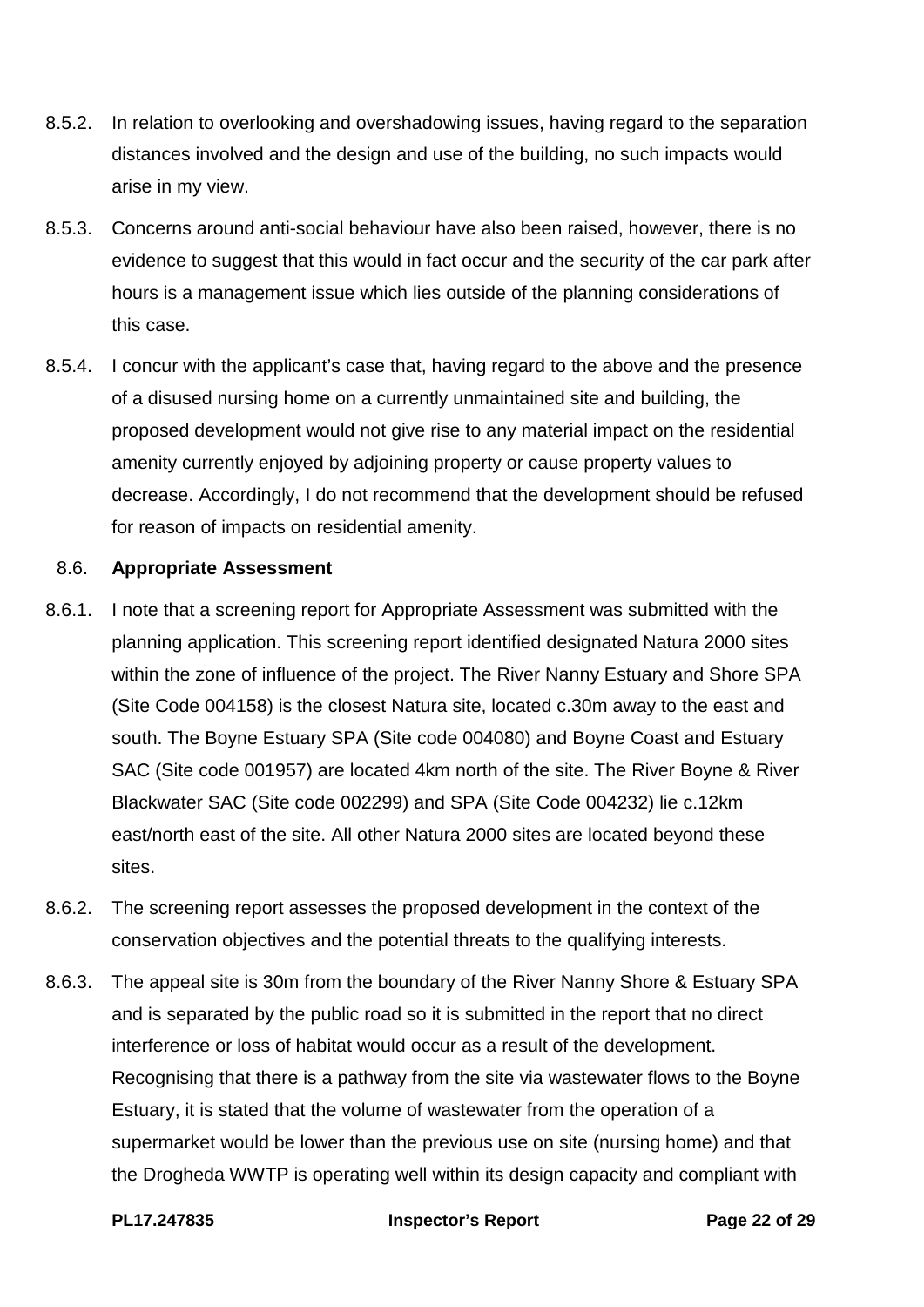- 8.5.2. In relation to overlooking and overshadowing issues, having regard to the separation distances involved and the design and use of the building, no such impacts would arise in my view.
- 8.5.3. Concerns around anti-social behaviour have also been raised, however, there is no evidence to suggest that this would in fact occur and the security of the car park after hours is a management issue which lies outside of the planning considerations of this case.
- 8.5.4. I concur with the applicant's case that, having regard to the above and the presence of a disused nursing home on a currently unmaintained site and building, the proposed development would not give rise to any material impact on the residential amenity currently enjoyed by adjoining property or cause property values to decrease. Accordingly, I do not recommend that the development should be refused for reason of impacts on residential amenity.

#### 8.6. **Appropriate Assessment**

- 8.6.1. I note that a screening report for Appropriate Assessment was submitted with the planning application. This screening report identified designated Natura 2000 sites within the zone of influence of the project. The River Nanny Estuary and Shore SPA (Site Code 004158) is the closest Natura site, located c.30m away to the east and south. The Boyne Estuary SPA (Site code 004080) and Boyne Coast and Estuary SAC (Site code 001957) are located 4km north of the site. The River Boyne & River Blackwater SAC (Site code 002299) and SPA (Site Code 004232) lie c.12km east/north east of the site. All other Natura 2000 sites are located beyond these sites.
- 8.6.2. The screening report assesses the proposed development in the context of the conservation objectives and the potential threats to the qualifying interests.
- 8.6.3. The appeal site is 30m from the boundary of the River Nanny Shore & Estuary SPA and is separated by the public road so it is submitted in the report that no direct interference or loss of habitat would occur as a result of the development. Recognising that there is a pathway from the site via wastewater flows to the Boyne Estuary, it is stated that the volume of wastewater from the operation of a supermarket would be lower than the previous use on site (nursing home) and that the Drogheda WWTP is operating well within its design capacity and compliant with

#### **PL17.247835 Inspector's Report Page 22 of 29**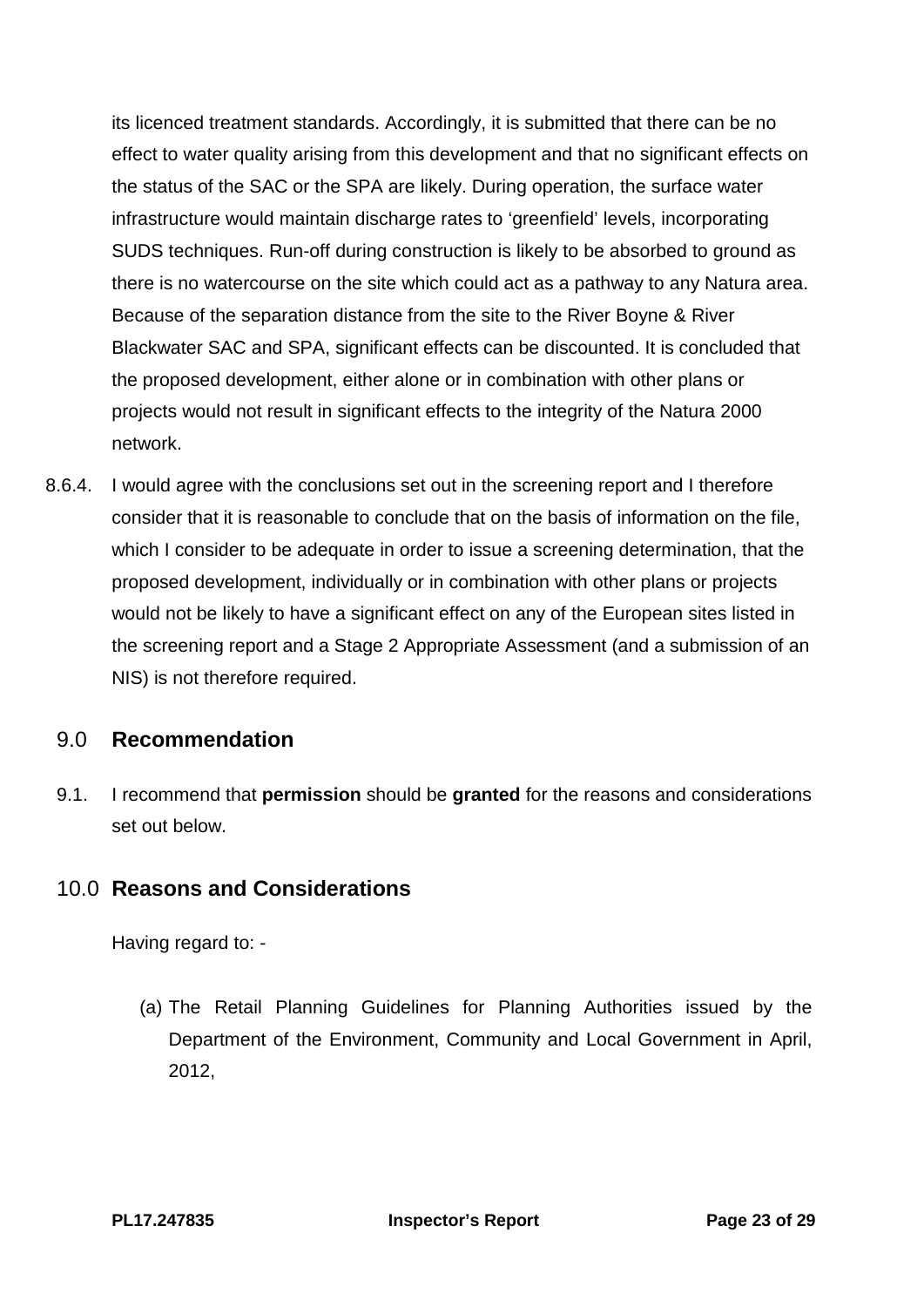its licenced treatment standards. Accordingly, it is submitted that there can be no effect to water quality arising from this development and that no significant effects on the status of the SAC or the SPA are likely. During operation, the surface water infrastructure would maintain discharge rates to 'greenfield' levels, incorporating SUDS techniques. Run-off during construction is likely to be absorbed to ground as there is no watercourse on the site which could act as a pathway to any Natura area. Because of the separation distance from the site to the River Boyne & River Blackwater SAC and SPA, significant effects can be discounted. It is concluded that the proposed development, either alone or in combination with other plans or projects would not result in significant effects to the integrity of the Natura 2000 network.

8.6.4. I would agree with the conclusions set out in the screening report and I therefore consider that it is reasonable to conclude that on the basis of information on the file, which I consider to be adequate in order to issue a screening determination, that the proposed development, individually or in combination with other plans or projects would not be likely to have a significant effect on any of the European sites listed in the screening report and a Stage 2 Appropriate Assessment (and a submission of an NIS) is not therefore required.

# <span id="page-22-0"></span>9.0 **Recommendation**

9.1. I recommend that **permission** should be **granted** for the reasons and considerations set out below.

# <span id="page-22-1"></span>10.0 **Reasons and Considerations**

Having regard to: -

(a) The Retail Planning Guidelines for Planning Authorities issued by the Department of the Environment, Community and Local Government in April, 2012,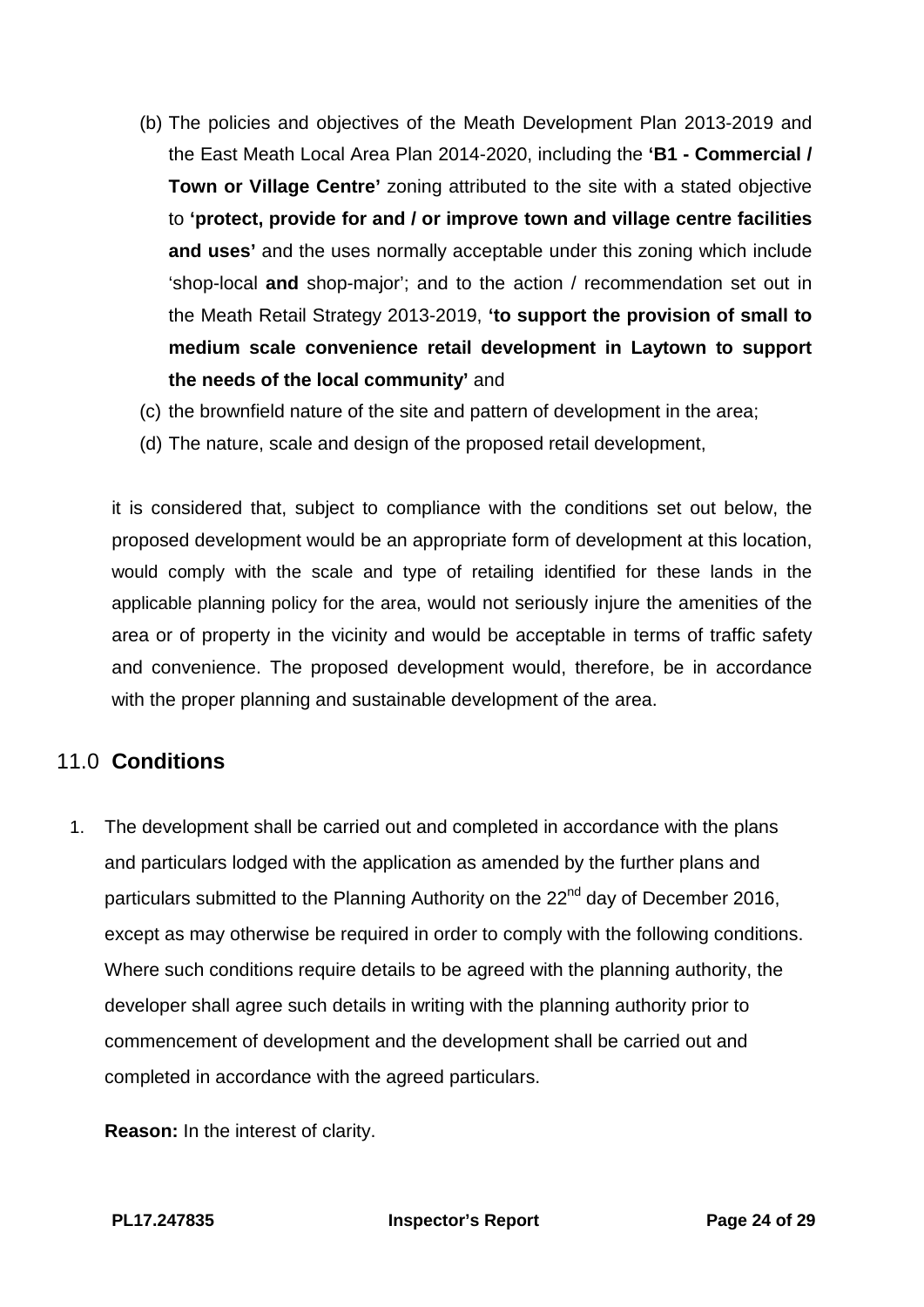- (b) The policies and objectives of the Meath Development Plan 2013-2019 and the East Meath Local Area Plan 2014-2020, including the **'B1 - Commercial / Town or Village Centre'** zoning attributed to the site with a stated objective to **'protect, provide for and / or improve town and village centre facilities and uses'** and the uses normally acceptable under this zoning which include 'shop-local **and** shop-major'; and to the action / recommendation set out in the Meath Retail Strategy 2013-2019, **'to support the provision of small to medium scale convenience retail development in Laytown to support the needs of the local community'** and
- (c) the brownfield nature of the site and pattern of development in the area;
- (d) The nature, scale and design of the proposed retail development,

it is considered that, subject to compliance with the conditions set out below, the proposed development would be an appropriate form of development at this location, would comply with the scale and type of retailing identified for these lands in the applicable planning policy for the area, would not seriously injure the amenities of the area or of property in the vicinity and would be acceptable in terms of traffic safety and convenience. The proposed development would, therefore, be in accordance with the proper planning and sustainable development of the area.

# <span id="page-23-0"></span>11.0 **Conditions**

1. The development shall be carried out and completed in accordance with the plans and particulars lodged with the application as amended by the further plans and particulars submitted to the Planning Authority on the 22<sup>nd</sup> day of December 2016, except as may otherwise be required in order to comply with the following conditions. Where such conditions require details to be agreed with the planning authority, the developer shall agree such details in writing with the planning authority prior to commencement of development and the development shall be carried out and completed in accordance with the agreed particulars.

**Reason:** In the interest of clarity.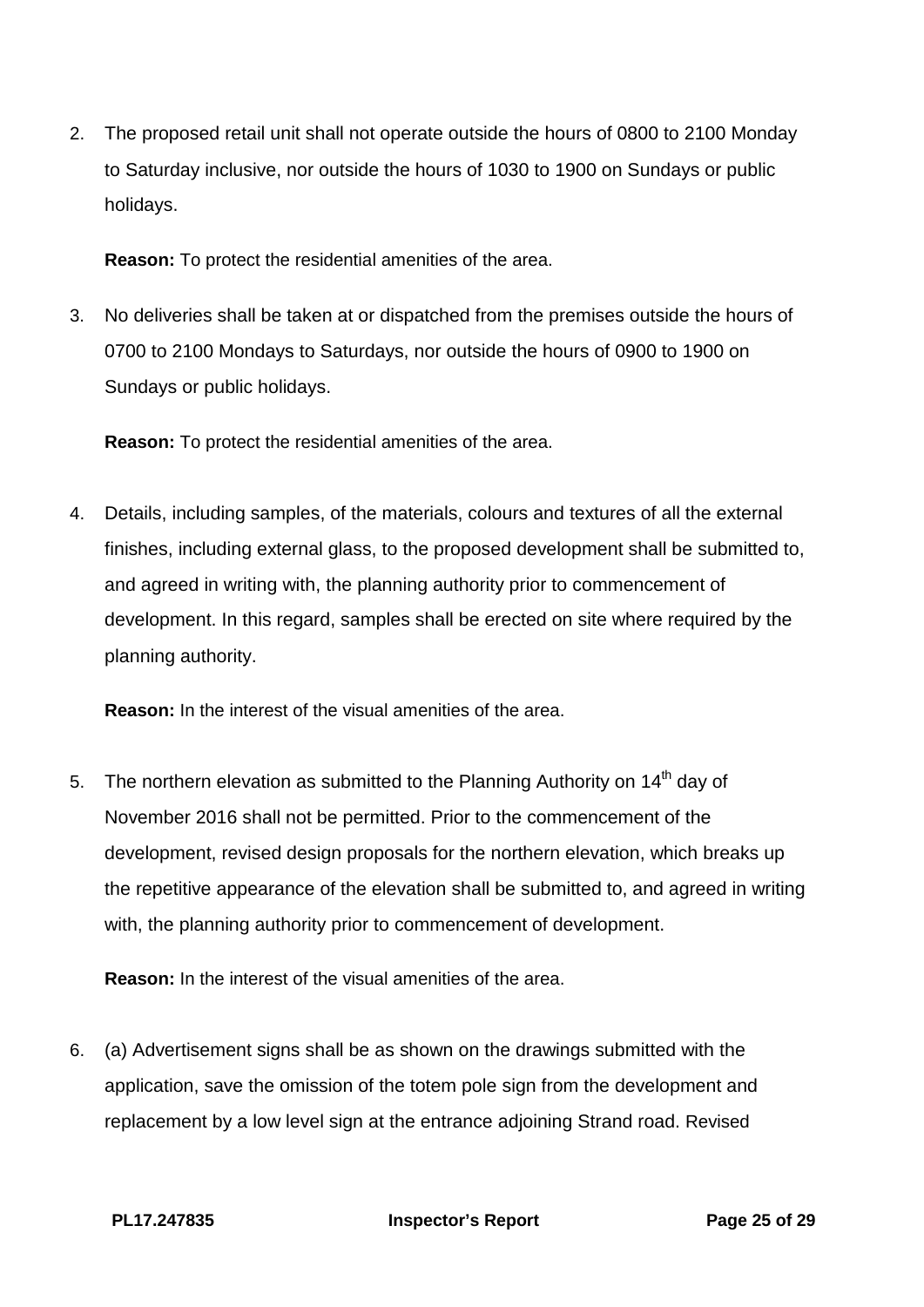2. The proposed retail unit shall not operate outside the hours of 0800 to 2100 Monday to Saturday inclusive, nor outside the hours of 1030 to 1900 on Sundays or public holidays.

**Reason:** To protect the residential amenities of the area.

3. No deliveries shall be taken at or dispatched from the premises outside the hours of 0700 to 2100 Mondays to Saturdays, nor outside the hours of 0900 to 1900 on Sundays or public holidays.

**Reason:** To protect the residential amenities of the area.

4. Details, including samples, of the materials, colours and textures of all the external finishes, including external glass, to the proposed development shall be submitted to, and agreed in writing with, the planning authority prior to commencement of development. In this regard, samples shall be erected on site where required by the planning authority.

**Reason:** In the interest of the visual amenities of the area.

5. The northern elevation as submitted to the Planning Authority on  $14<sup>th</sup>$  day of November 2016 shall not be permitted. Prior to the commencement of the development, revised design proposals for the northern elevation, which breaks up the repetitive appearance of the elevation shall be submitted to, and agreed in writing with, the planning authority prior to commencement of development.

**Reason:** In the interest of the visual amenities of the area.

6. (a) Advertisement signs shall be as shown on the drawings submitted with the application, save the omission of the totem pole sign from the development and replacement by a low level sign at the entrance adjoining Strand road. Revised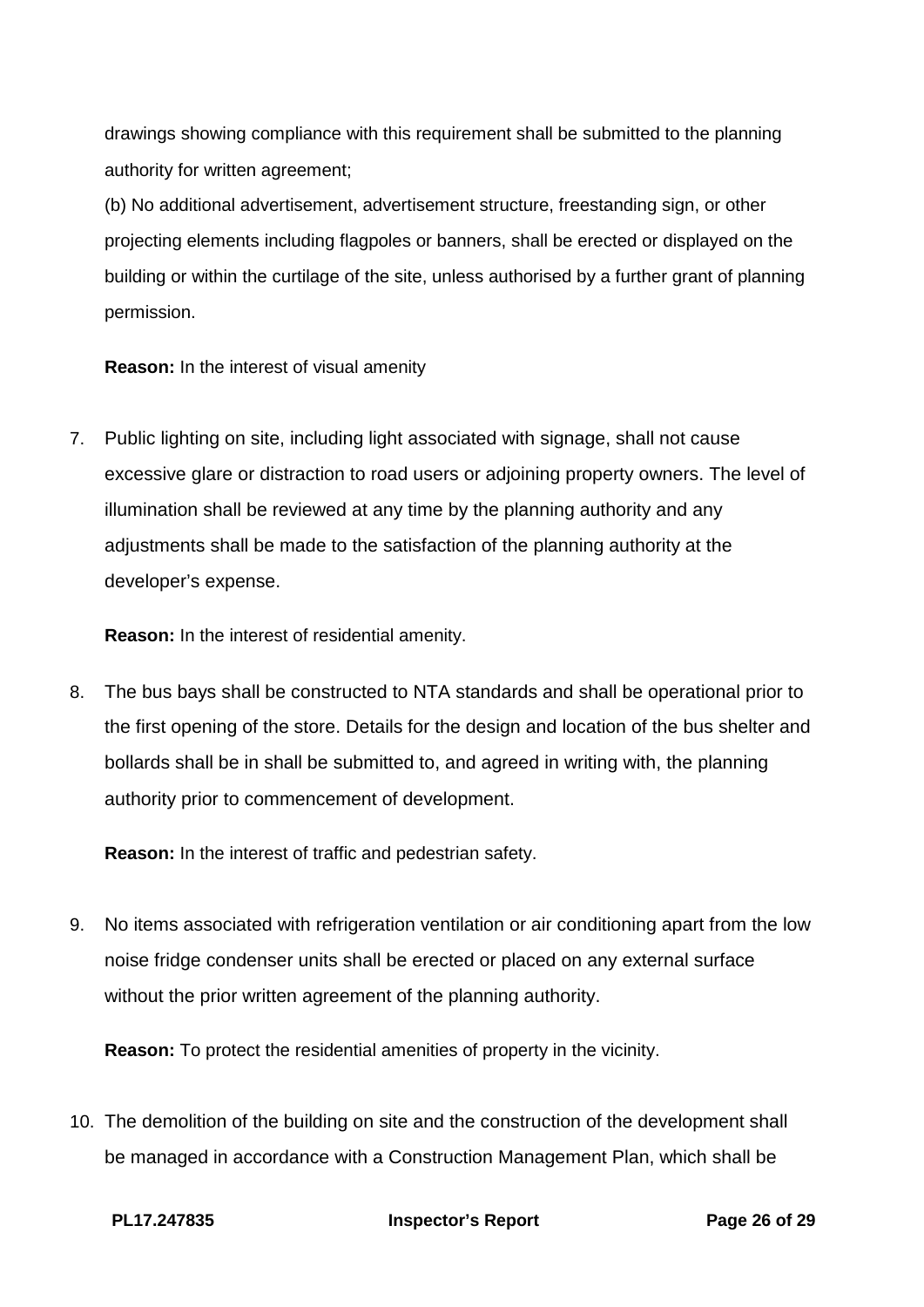drawings showing compliance with this requirement shall be submitted to the planning authority for written agreement;

(b) No additional advertisement, advertisement structure, freestanding sign, or other projecting elements including flagpoles or banners, shall be erected or displayed on the building or within the curtilage of the site, unless authorised by a further grant of planning permission.

**Reason:** In the interest of visual amenity

7. Public lighting on site, including light associated with signage, shall not cause excessive glare or distraction to road users or adjoining property owners. The level of illumination shall be reviewed at any time by the planning authority and any adjustments shall be made to the satisfaction of the planning authority at the developer's expense.

**Reason:** In the interest of residential amenity.

8. The bus bays shall be constructed to NTA standards and shall be operational prior to the first opening of the store. Details for the design and location of the bus shelter and bollards shall be in shall be submitted to, and agreed in writing with, the planning authority prior to commencement of development.

**Reason:** In the interest of traffic and pedestrian safety.

9. No items associated with refrigeration ventilation or air conditioning apart from the low noise fridge condenser units shall be erected or placed on any external surface without the prior written agreement of the planning authority.

**Reason:** To protect the residential amenities of property in the vicinity.

10. The demolition of the building on site and the construction of the development shall be managed in accordance with a Construction Management Plan, which shall be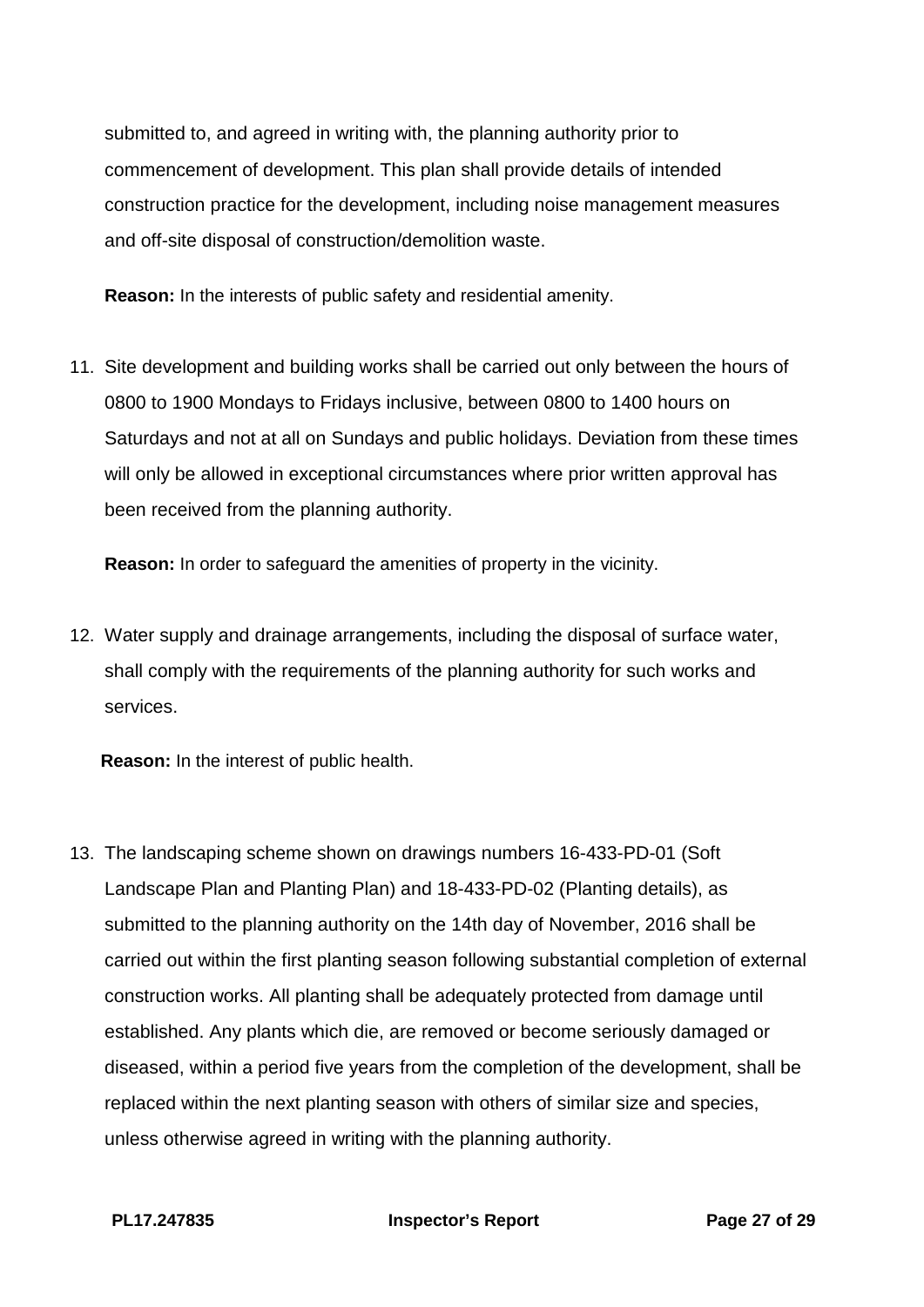submitted to, and agreed in writing with, the planning authority prior to commencement of development. This plan shall provide details of intended construction practice for the development, including noise management measures and off-site disposal of construction/demolition waste.

**Reason:** In the interests of public safety and residential amenity.

11. Site development and building works shall be carried out only between the hours of 0800 to 1900 Mondays to Fridays inclusive, between 0800 to 1400 hours on Saturdays and not at all on Sundays and public holidays. Deviation from these times will only be allowed in exceptional circumstances where prior written approval has been received from the planning authority.

**Reason:** In order to safeguard the amenities of property in the vicinity.

12. Water supply and drainage arrangements, including the disposal of surface water, shall comply with the requirements of the planning authority for such works and services.

**Reason:** In the interest of public health.

13. The landscaping scheme shown on drawings numbers 16-433-PD-01 (Soft Landscape Plan and Planting Plan) and 18-433-PD-02 (Planting details), as submitted to the planning authority on the 14th day of November, 2016 shall be carried out within the first planting season following substantial completion of external construction works. All planting shall be adequately protected from damage until established. Any plants which die, are removed or become seriously damaged or diseased, within a period five years from the completion of the development, shall be replaced within the next planting season with others of similar size and species, unless otherwise agreed in writing with the planning authority.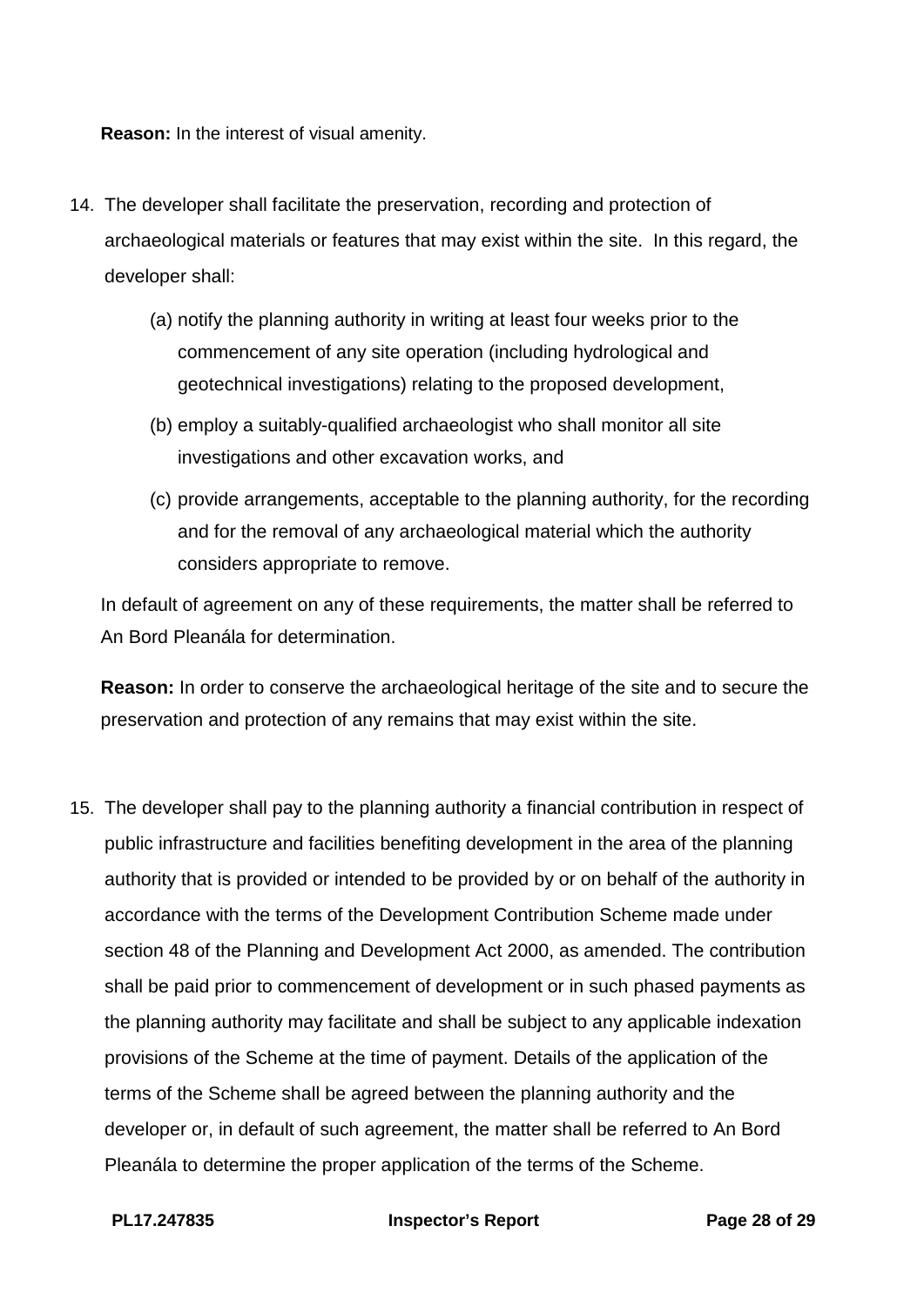**Reason:** In the interest of visual amenity.

- 14. The developer shall facilitate the preservation, recording and protection of archaeological materials or features that may exist within the site. In this regard, the developer shall:
	- (a) notify the planning authority in writing at least four weeks prior to the commencement of any site operation (including hydrological and geotechnical investigations) relating to the proposed development,
	- (b) employ a suitably-qualified archaeologist who shall monitor all site investigations and other excavation works, and
	- (c) provide arrangements, acceptable to the planning authority, for the recording and for the removal of any archaeological material which the authority considers appropriate to remove.

In default of agreement on any of these requirements, the matter shall be referred to An Bord Pleanála for determination.

**Reason:** In order to conserve the archaeological heritage of the site and to secure the preservation and protection of any remains that may exist within the site.

15. The developer shall pay to the planning authority a financial contribution in respect of public infrastructure and facilities benefiting development in the area of the planning authority that is provided or intended to be provided by or on behalf of the authority in accordance with the terms of the Development Contribution Scheme made under section 48 of the Planning and Development Act 2000, as amended. The contribution shall be paid prior to commencement of development or in such phased payments as the planning authority may facilitate and shall be subject to any applicable indexation provisions of the Scheme at the time of payment. Details of the application of the terms of the Scheme shall be agreed between the planning authority and the developer or, in default of such agreement, the matter shall be referred to An Bord Pleanála to determine the proper application of the terms of the Scheme.